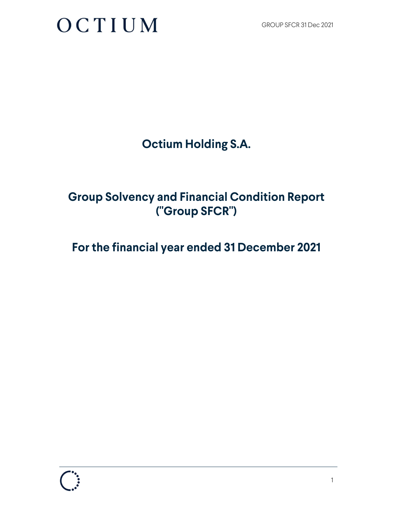**Octium Holding S.A.** 

### **Group Solvency and Financial Condition Report ("Group SFCR")**

### **For the financial year ended 31 December 2021**

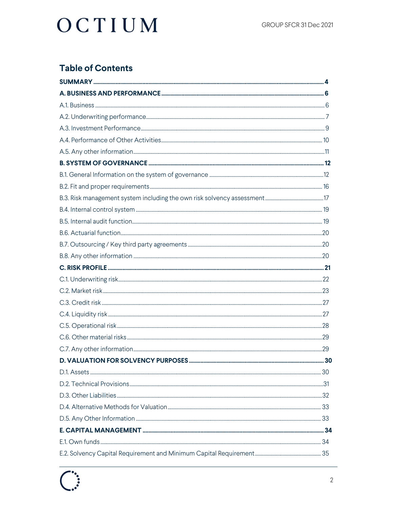### **Table of Contents**

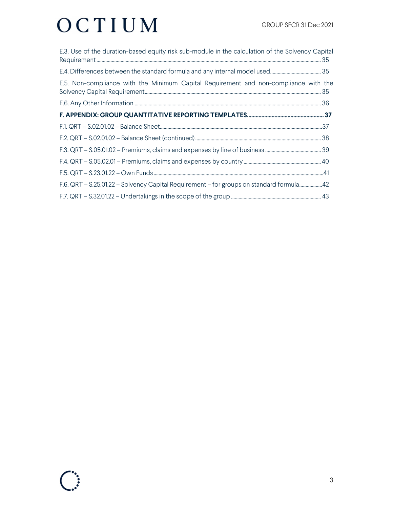| E.3. Use of the duration-based equity risk sub-module in the calculation of the Solvency Capital |  |
|--------------------------------------------------------------------------------------------------|--|
|                                                                                                  |  |
| E.5. Non-compliance with the Minimum Capital Requirement and non-compliance with the             |  |
|                                                                                                  |  |
|                                                                                                  |  |
|                                                                                                  |  |
|                                                                                                  |  |
|                                                                                                  |  |
|                                                                                                  |  |
|                                                                                                  |  |
| F.6. QRT - S.25.01.22 - Solvency Capital Requirement - for groups on standard formula42          |  |
|                                                                                                  |  |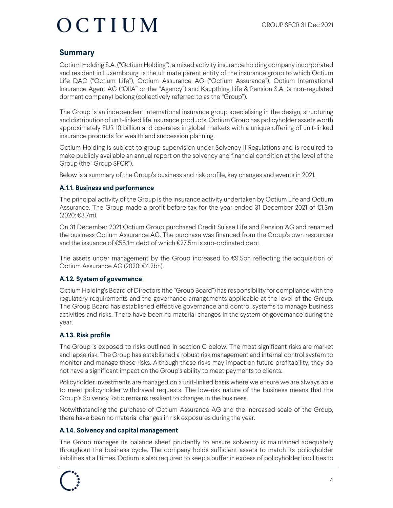### **Summary**

Octium Holding S.A. ("Octium Holding"), a mixed activity insurance holding company incorporated and resident in Luxembourg, is the ultimate parent entity of the insurance group to which Octium Life DAC ("Octium Life"), Octium Assurance AG ("Octium Assurance"), Octium International Insurance Agent AG ("OIIA" or the "Agency") and Kaupthing Life & Pension S.A. (a non-regulated dormant company) belong (collectively referred to as the "Group").

The Group is an independent international insurance group specialising in the design, structuring and distribution of unit-linked life insurance products. Octium Group has policyholder assets worth approximately EUR 10 billion and operates in global markets with a unique offering of unit-linked insurance products for wealth and succession planning.

Octium Holding is subject to group supervision under Solvency II Regulations and is required to make publicly available an annual report on the solvency and financial condition at the level of the Group (the "Group SFCR").

Below is a summary of the Group's business and risk profile, key changes and events in 2021.

#### **A.1.1. Business and performance**

The principal activity of the Group is the insurance activity undertaken by Octium Life and Octium Assurance. The Group made a profit before tax for the year ended 31 December 2021 of €1.3m (2020: €3.7m).

On 31 December 2021 Octium Group purchased Credit Suisse Life and Pension AG and renamed the business Octium Assurance AG. The purchase was financed from the Group's own resources and the issuance of €55.1m debt of which €27.5m is sub-ordinated debt.

The assets under management by the Group increased to €9.5bn reflecting the acquisition of Octium Assurance AG (2020: €4.2bn).

#### **A.1.2. System of governance**

Octium Holding's Board of Directors (the "Group Board") has responsibility for compliance with the regulatory requirements and the governance arrangements applicable at the level of the Group. The Group Board has established effective governance and control systems to manage business activities and risks. There have been no material changes in the system of governance during the year.

#### **A.1.3. Risk profile**

The Group is exposed to risks outlined in section C below. The most significant risks are market and lapse risk. The Group has established a robust risk management and internal control system to monitor and manage these risks. Although these risks may impact on future profitability, they do not have a significant impact on the Group's ability to meet payments to clients.

Policyholder investments are managed on a unit-linked basis where we ensure we are always able to meet policyholder withdrawal requests. The low-risk nature of the business means that the Group's Solvency Ratio remains resilient to changes in the business.

Notwithstanding the purchase of Octium Assurance AG and the increased scale of the Group, there have been no material changes in risk exposures during the year.

#### **A.1.4. Solvency and capital management**

The Group manages its balance sheet prudently to ensure solvency is maintained adequately throughout the business cycle. The company holds sufficient assets to match its policyholder liabilities at all times. Octium is also required to keep a buffer in excess of policyholder liabilities to

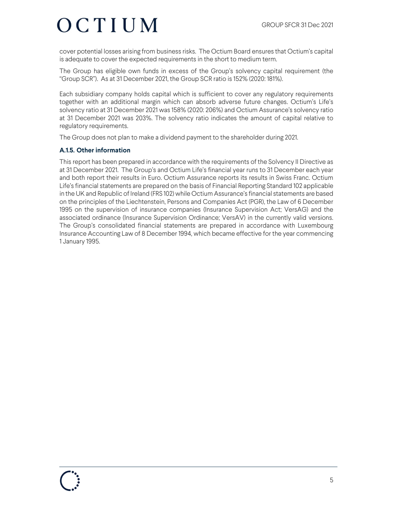cover potential losses arising from business risks. The Octium Board ensures that Octium's capital is adequate to cover the expected requirements in the short to medium term.

The Group has eligible own funds in excess of the Group's solvency capital requirement (the "Group SCR"). As at 31 December 2021, the Group SCR ratio is 152% (2020: 181%).

Each subsidiary company holds capital which is sufficient to cover any regulatory requirements together with an additional margin which can absorb adverse future changes. Octium's Life's solvency ratio at 31 December 2021 was 158% (2020: 206%) and Octium Assurance's solvency ratio at 31 December 2021 was 203%. The solvency ratio indicates the amount of capital relative to regulatory requirements.

The Group does not plan to make a dividend payment to the shareholder during 2021.

#### **A.1.5. Other information**

This report has been prepared in accordance with the requirements of the Solvency II Directive as at 31 December 2021. The Group's and Octium Life's financial year runs to 31 December each year and both report their results in Euro. Octium Assurance reports its results in Swiss Franc. Octium Life's financial statements are prepared on the basis of Financial Reporting Standard 102 applicable in the UK and Republic of Ireland (FRS 102) while Octium Assurance's financial statements are based on the principles of the Liechtenstein, Persons and Companies Act (PGR), the Law of 6 December 1995 on the supervision of insurance companies (Insurance Supervision Act; VersAG) and the associated ordinance (Insurance Supervision Ordinance; VersAV) in the currently valid versions. The Group's consolidated financial statements are prepared in accordance with Luxembourg Insurance Accounting Law of 8 December 1994, which became effective for the year commencing 1 January 1995.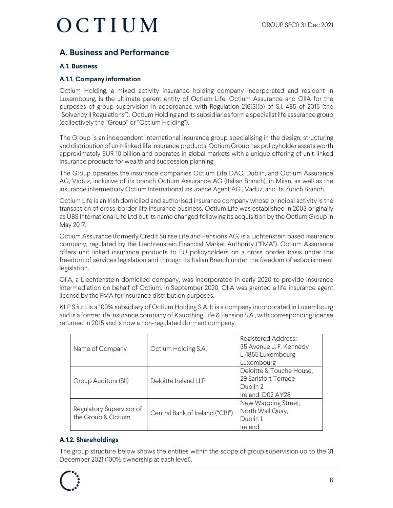### **A. Business and Performance**

#### **A.1. Business**

#### **A.1.1. Company information**

Octium Holding, a mixed activity insurance holding company incorporated and resident in Luxembourg, is the ultimate parent entity of Octium Life, Octium Assurance and OIIA for the purposes of group supervision in accordance with Regulation 216(3)(b) of S.I. 485 of 2015 (the "Solvency II Regulations"). Octium Holding and its subsidiaries form a specialist life assurance group (collectively the "Group" or "Octium Holding").

The Group is an independent international insurance group specialising in the design, structuring and distribution of unit-linked life insurance products. Octium Group has policyholder assets worth approximately EUR 10 billion and operates in global markets with a unique offering of unit-linked insurance products for wealth and succession planning.

The Group operates the insurance companies Octium Life DAC, Dublin, and Octium Assurance AG, Vaduz, inclusive of its branch Octium Assurance AG (Italian Branch), in Milan, as well as the insurance intermediary Octium International Insurance Agent AG , Vaduz, and its Zurich Branch.

Octium Life is an Irish domiciled and authorised insurance company whose principal activity is the transaction of cross-border life insurance business. Octium Life was established in 2003 originally as UBS International Life Ltd but its name changed following its acquisition by the Octium Group in May 2017.

Octium Assurance (formerly Credit Suisse Life and Pensions AG) is a Lichtenstein based insurance company, regulated by the Liechtenstein Financial Market Authority ("FMA"). Octium Assurance offers unit linked insurance products to EU policyholders on a cross border basis under the freedom of services legislation and through its Italian Branch under the freedom of establishment legislation.

OIIA, a Liechtenstein domiciled company, was incorporated in early 2020 to provide insurance intermediation on behalf of Octium. In September 2020, OIIA was granted a life insurance agent license by the FMA for insurance distribution purposes.

KLP S.à.r.l. is a 100% subsidiary of Octium Holding S.A. It is a company incorporated in Luxembourg and is a former life insurance company of Kaupthing Life & Pension S.A., with corresponding license returned in 2015 and is now a non-regulated dormant company.

| Name of Company                                | Octium Holding S.A.             | <b>Registered Address:</b><br>35 Avenue J. F. Kennedy<br>L-1855 Luxembourg<br>Luxembourg |
|------------------------------------------------|---------------------------------|------------------------------------------------------------------------------------------|
| Group Auditors (SII)                           | Deloitte Ireland LLP            | Deloitte & Touche House,<br>29 Earlsfort Terrace<br>Dublin 2<br>Ireland, D02 AY28        |
| Regulatory Supervisor of<br>the Group & Octium | Central Bank of Ireland ("CBI") | New Wapping Street,<br>North Wall Quay,<br>Dublin 1.<br>Ireland.                         |

#### **A.1.2. Shareholdings**

The group structure below shows the entities within the scope of group supervision up to the 31 December 2021 (100% ownership at each level).

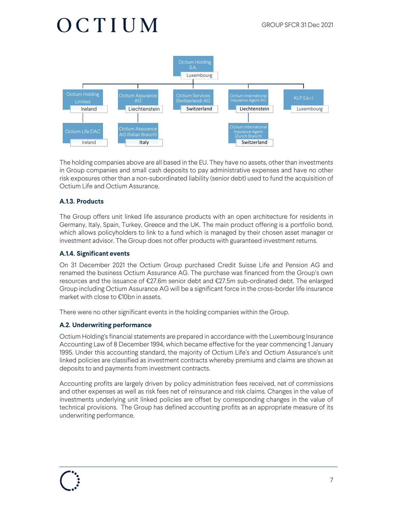

The holding companies above are all based in the EU. They have no assets, other than investments in Group companies and small cash deposits to pay administrative expenses and have no other risk exposures other than a non-subordinated liability (senior debt) used to fund the acquisition of Octium Life and Octium Assurance.

#### **A.1.3. Products**

The Group offers unit linked life assurance products with an open architecture for residents in Germany, Italy, Spain, Turkey, Greece and the UK. The main product offering is a portfolio bond, which allows policyholders to link to a fund which is managed by their chosen asset manager or investment advisor. The Group does not offer products with guaranteed investment returns.

#### **A.1.4. Significant events**

On 31 December 2021 the Octium Group purchased Credit Suisse Life and Pension AG and renamed the business Octium Assurance AG. The purchase was financed from the Group's own resources and the issuance of €27.6m senior debt and €27.5m sub-ordinated debt. The enlarged Group including Octium Assurance AG will be a significant force in the cross-border life insurance market with close to €10bn in assets.

There were no other significant events in the holding companies within the Group.

#### **A.2. Underwriting performance**

Octium Holding's financial statements are prepared in accordance with the Luxembourg Insurance Accounting Law of 8 December 1994, which became effective for the year commencing 1 January 1995. Under this accounting standard, the majority of Octium Life's and Octium Assurance's unit linked policies are classified as investment contracts whereby premiums and claims are shown as deposits to and payments from investment contracts.

Accounting profits are largely driven by policy administration fees received, net of commissions and other expenses as well as risk fees net of reinsurance and risk claims. Changes in the value of investments underlying unit linked policies are offset by corresponding changes in the value of technical provisions. The Group has defined accounting profits as an appropriate measure of its underwriting performance.

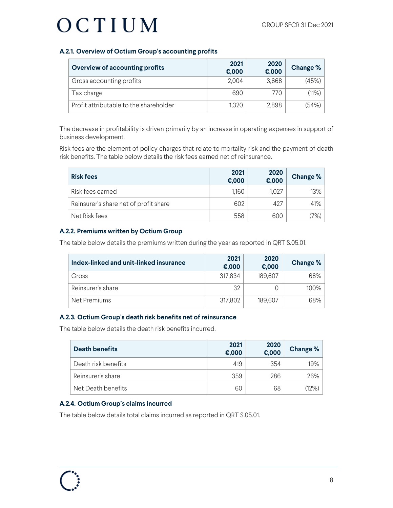#### **A.2.1. Overview of Octium Group's accounting profits**

| <b>Overview of accounting profits</b>  | 2021<br>E,000 | 2020<br>€,000 | <b>Change %</b> |
|----------------------------------------|---------------|---------------|-----------------|
| Gross accounting profits               | 2,004         | 3,668         | (45%)           |
| Tax charge                             | 690           | 770           | (11%)           |
| Profit attributable to the shareholder | 1,320         | 2,898         | (54%)           |

The decrease in profitability is driven primarily by an increase in operating expenses in support of business development.

Risk fees are the element of policy charges that relate to mortality risk and the payment of death risk benefits. The table below details the risk fees earned net of reinsurance.

| <b>Risk fees</b>                      | 2021<br>E,000 | 2020<br>E,000 | Change % |
|---------------------------------------|---------------|---------------|----------|
| Risk fees earned                      | 1,160         | 1,027         | 13%      |
| Reinsurer's share net of profit share | 602           | 427           | 41%      |
| Net Risk fees                         | 558           | 600           | 7%)      |

#### **A.2.2. Premiums written by Octium Group**

The table below details the premiums written during the year as reported in QRT S.05.01.

| Index-linked and unit-linked insurance | 2021<br>E,000 | 2020<br>€,000 | Change % |
|----------------------------------------|---------------|---------------|----------|
| Gross                                  | 317,834       | 189,607       | 68%      |
| Reinsurer's share                      | 32            |               | 100%     |
| Net Premiums                           | 317,802       | 189,607       | 68%      |

#### **A.2.3. Octium Group's death risk benefits net of reinsurance**

The table below details the death risk benefits incurred.

| Death benefits      | 2021<br>E,000 | 2020<br>$\epsilon$ ,000 | <b>Change %</b> |
|---------------------|---------------|-------------------------|-----------------|
| Death risk benefits | 419           | 354                     | 19%             |
| Reinsurer's share   | 359           | 286                     | 26%             |
| Net Death benefits  | 60            | 68                      | (12%)           |

#### **A.2.4. Octium Group's claims incurred**

The table below details total claims incurred as reported in QRT S.05.01.

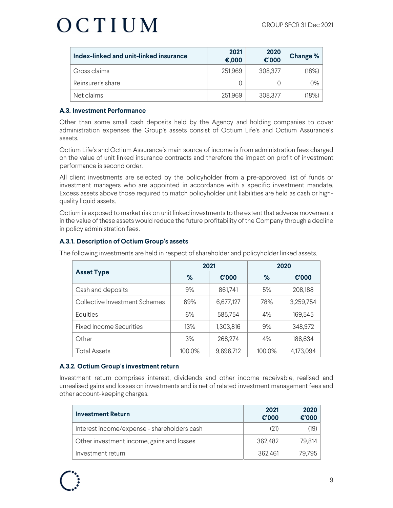| Index-linked and unit-linked insurance | 2021<br>€,000 | 2020<br>€'000 | Change % |
|----------------------------------------|---------------|---------------|----------|
| Gross claims                           | 251,969       | 308,377       | (18%)    |
| Reinsurer's share                      |               |               | 0%       |
| Net claims                             | 251,969       | 308,377       | (18%)    |

#### **A.3. Investment Performance**

Other than some small cash deposits held by the Agency and holding companies to cover administration expenses the Group's assets consist of Octium Life's and Octium Assurance's assets.

Octium Life's and Octium Assurance's main source of income is from administration fees charged on the value of unit linked insurance contracts and therefore the impact on profit of investment performance is second order.

All client investments are selected by the policyholder from a pre-approved list of funds or investment managers who are appointed in accordance with a specific investment mandate. Excess assets above those required to match policyholder unit liabilities are held as cash or highquality liquid assets.

Octium is exposed to market risk on unit linked investments to the extent that adverse movements in the value of these assets would reduce the future profitability of the Company through a decline in policy administration fees.

#### **A.3.1. Description of Octium Group's assets**

|                                | 2021   |           | 2020   |           |
|--------------------------------|--------|-----------|--------|-----------|
| <b>Asset Type</b>              | %      | €'000     | $\%$   | €'000     |
| Cash and deposits              | 9%     | 861,741   | 5%     | 208,188   |
| Collective Investment Schemes  | 69%    | 6,677,127 | 78%    | 3,259,754 |
| Equities                       | 6%     | 585,754   | 4%     | 169,545   |
| <b>Fixed Income Securities</b> | 13%    | 1,303,816 | 9%     | 348,972   |
| Other                          | 3%     | 268,274   | 4%     | 186,634   |
| <b>Total Assets</b>            | 100.0% | 9,696,712 | 100.0% | 4,173,094 |

The following investments are held in respect of shareholder and policyholder linked assets.

#### **A.3.2. Octium Group's investment return**

Investment return comprises interest, dividends and other income receivable, realised and unrealised gains and losses on investments and is net of related investment management fees and other account-keeping charges.

| <b>Investment Return</b>                    | 2021<br>€'000 | 2020<br>€'000 |
|---------------------------------------------|---------------|---------------|
| Interest income/expense - shareholders cash | (21)          | (19)          |
| Other investment income, gains and losses   | 362,482       | 79,814        |
| Investment return                           | 362,461       | 79.795        |

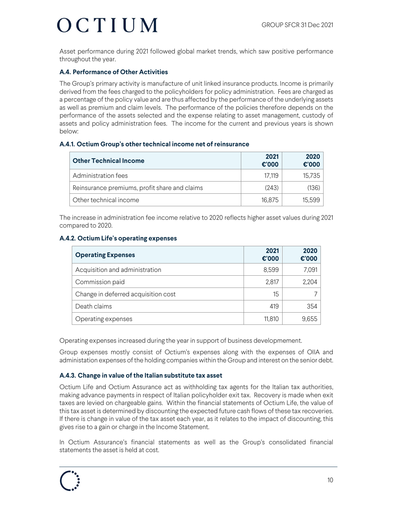Asset performance during 2021 followed global market trends, which saw positive performance throughout the year.

#### **A.4. Performance of Other Activities**

The Group's primary activity is manufacture of unit linked insurance products. Income is primarily derived from the fees charged to the policyholders for policy administration. Fees are charged as a percentage of the policy value and are thus affected by the performance of the underlying assets as well as premium and claim levels. The performance of the policies therefore depends on the performance of the assets selected and the expense relating to asset management, custody of assets and policy administration fees. The income for the current and previous years is shown below:

#### **A.4.1. Octium Group's other technical income net of reinsurance**

| <b>Other Technical Income</b>                 | 2021<br>$\epsilon$ '000 | 2020<br>€'000 |
|-----------------------------------------------|-------------------------|---------------|
| Administration fees                           | 17.119                  | 15.735        |
| Reinsurance premiums, profit share and claims | (243)                   | (136)         |
| Other technical income                        | 16.875                  | 15.599        |

The increase in administration fee income relative to 2020 reflects higher asset values during 2021 compared to 2020.

#### **A.4.2. Octium Life's operating expenses**

| <b>Operating Expenses</b>           | 2021<br>$\epsilon$ '000 | 2020<br>$\epsilon$ '000 |
|-------------------------------------|-------------------------|-------------------------|
| Acquisition and administration      | 8,599                   | 7,091                   |
| Commission paid                     | 2,817                   | 2,204                   |
| Change in deferred acquisition cost | 15                      |                         |
| Death claims                        | 419                     | 354                     |
| Operating expenses                  | 11,810                  | 9,655                   |

Operating expenses increased during the year in support of business developmement.

Group expenses mostly consist of Octium's expenses along with the expenses of OIIA and administation expenses of the holding companies within the Group and interest on the senior debt.

#### **A.4.3. Change in value of the Italian substitute tax asset**

Octium Life and Octium Assurance act as withholding tax agents for the Italian tax authorities, making advance payments in respect of Italian policyholder exit tax. Recovery is made when exit taxes are levied on chargeable gains. Within the financial statements of Octium Life, the value of this tax asset is determined by discounting the expected future cash flows of these tax recoveries. If there is change in value of the tax asset each year, as it relates to the impact of discounting, this gives rise to a gain or charge in the Income Statement.

In Octium Assurance's financial statements as well as the Group's consolidated financial statements the asset is held at cost.

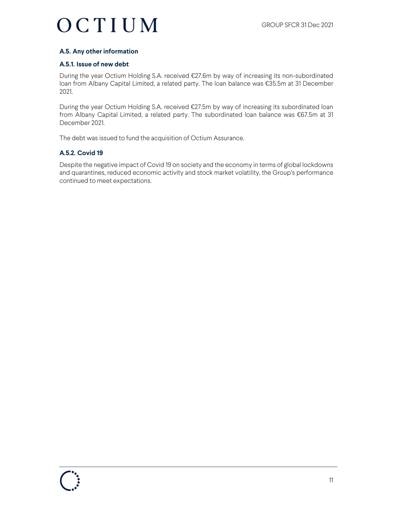#### **A.5. Any other information**

#### **A.5.1. Issue of new debt**

During the year Octium Holding S.A. received €27.6m by way of increasing its non-subordinated loan from Albany Capital Limited, a related party. The loan balance was €35.5m at 31 December 2021.

During the year Octium Holding S.A. received €27.5m by way of increasing its subordinated loan from Albany Capital Limited, a related party. The subordinated loan balance was €67.5m at 31 December 2021.

The debt was issued to fund the acquisition of Octium Assurance.

#### **A.5.2. Covid 19**

Despite the negative impact of Covid 19 on society and the economy in terms of global lockdowns and quarantines, reduced economic activity and stock market volatility, the Group's performance continued to meet expectations.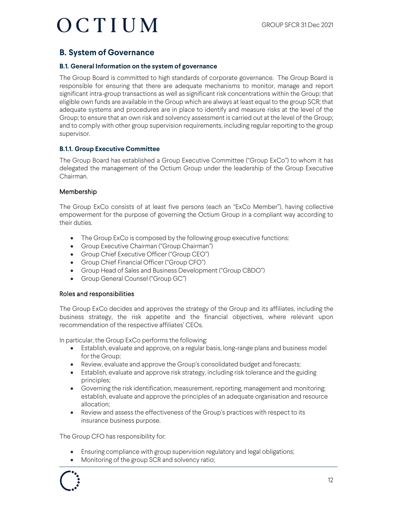### **B. System of Governance**

#### **B.1. General Information on the system of governance**

The Group Board is committed to high standards of corporate governance. The Group Board is responsible for ensuring that there are adequate mechanisms to monitor, manage and report significant intra-group transactions as well as significant risk concentrations within the Group; that eligible own funds are available in the Group which are always at least equal to the group SCR; that adequate systems and procedures are in place to identify and measure risks at the level of the Group; to ensure that an own risk and solvency assessment is carried out at the level of the Group; and to comply with other group supervision requirements, including regular reporting to the group supervisor.

#### **B.1.1. Group Executive Committee**

The Group Board has established a Group Executive Committee ("Group ExCo") to whom it has delegated the management of the Octium Group under the leadership of the Group Executive Chairman.

#### Membership

The Group ExCo consists of at least five persons (each an "ExCo Member"), having collective empowerment for the purpose of governing the Octium Group in a compliant way according to their duties.

- The Group ExCo is composed by the following group executive functions:
- Group Executive Chairman ("Group Chairman")
- Group Chief Executive Officer ("Group CEO")
- Group Chief Financial Officer ("Group CFO")
- Group Head of Sales and Business Development ("Group CBDO")
- Group General Counsel ("Group GC")

#### Roles and responsibilities

The Group ExCo decides and approves the strategy of the Group and its affiliates, including the business strategy, the risk appetite and the financial objectives, where relevant upon recommendation of the respective affiliates' CEOs.

In particular, the Group ExCo performs the following:

- Establish, evaluate and approve, on a regular basis, long-range plans and business model for the Group;
- Review, evaluate and approve the Group's consolidated budget and forecasts;
- Establish, evaluate and approve risk strategy, including risk tolerance and the guiding principles;
- Governing the risk identification, measurement, reporting, management and monitoring; establish, evaluate and approve the principles of an adequate organisation and resource allocation;
- Review and assess the effectiveness of the Group's practices with respect to its insurance business purpose.

The Group CFO has responsibility for:

- Ensuring compliance with group supervision regulatory and legal obligations;
- Monitoring of the group SCR and solvency ratio;

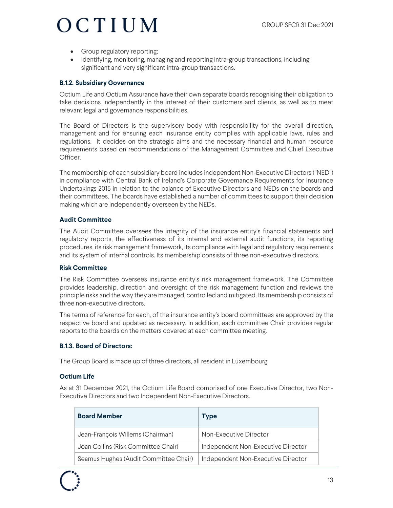- Group regulatory reporting;
- Identifying, monitoring, managing and reporting intra-group transactions, including significant and very significant intra-group transactions.

#### **B.1.2. Subsidiary Governance**

Octium Life and Octium Assurance have their own separate boards recognising their obligation to take decisions independently in the interest of their customers and clients, as well as to meet relevant legal and governance responsibilities.

The Board of Directors is the supervisory body with responsibility for the overall direction, management and for ensuring each insurance entity complies with applicable laws, rules and regulations. It decides on the strategic aims and the necessary financial and human resource requirements based on recommendations of the Management Committee and Chief Executive Officer.

The membership of each subsidiary board includes independent Non-Executive Directors ("NED") in compliance with Central Bank of Ireland's Corporate Governance Requirements for Insurance Undertakings 2015 in relation to the balance of Executive Directors and NEDs on the boards and their committees. The boards have established a number of committees to support their decision making which are independently overseen by the NEDs.

#### **Audit Committee**

The Audit Committee oversees the integrity of the insurance entity's financial statements and regulatory reports, the effectiveness of its internal and external audit functions, its reporting procedures, its risk management framework, its compliance with legal and regulatory requirements and its system of internal controls. Its membership consists of three non-executive directors.

#### **Risk Committee**

The Risk Committee oversees insurance entity's risk management framework. The Committee provides leadership, direction and oversight of the risk management function and reviews the principle risks and the way they are managed, controlled and mitigated. Its membership consists of three non-executive directors.

The terms of reference for each, of the insurance entity's board committees are approved by the respective board and updated as necessary. In addition, each committee Chair provides regular reports to the boards on the matters covered at each committee meeting.

#### **B.1.3. Board of Directors:**

The Group Board is made up of three directors, all resident in Luxembourg.

#### **Octium Life**

As at 31 December 2021, the Octium Life Board comprised of one Executive Director, two Non-Executive Directors and two Independent Non-Executive Directors.

| <b>Board Member</b>                   | Type                               |
|---------------------------------------|------------------------------------|
| Jean-François Willems (Chairman)      | Non-Executive Director             |
| Joan Collins (Risk Committee Chair)   | Independent Non-Executive Director |
| Seamus Hughes (Audit Committee Chair) | Independent Non-Executive Director |

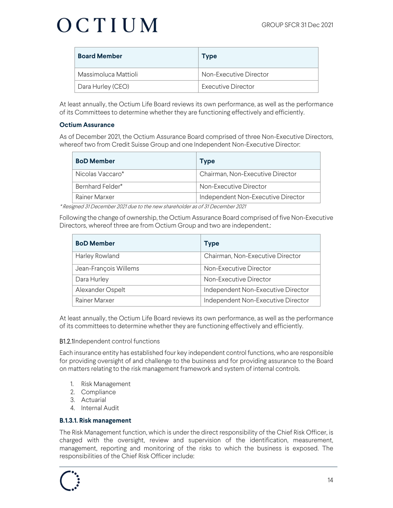| <b>Board Member</b>  | Type                          |
|----------------------|-------------------------------|
| Massimoluca Mattioli | <b>Non-Executive Director</b> |
| Dara Hurley (CEO)    | <b>Executive Director</b>     |

At least annually, the Octium Life Board reviews its own performance, as well as the performance of its Committees to determine whether they are functioning effectively and efficiently.

#### **Octium Assurance**

As of December 2021, the Octium Assurance Board comprised of three Non-Executive Directors, whereof two from Credit Suisse Group and one Independent Non-Executive Director:

| <b>BoD Member</b> | <b>Type</b>                        |
|-------------------|------------------------------------|
| Nicolas Vaccaro*  | Chairman, Non-Executive Director   |
| Bernhard Felder*  | Non-Executive Director             |
| Rainer Marxer     | Independent Non-Executive Director |

\* Resigned 31 December 2021 due to the new shareholder as of 31 December 2021

Following the change of ownership, the Octium Assurance Board comprised of five Non-Executive Directors, whereof three are from Octium Group and two are independent.:

| <b>BoD Member</b>     | <b>Type</b>                        |
|-----------------------|------------------------------------|
| Harley Rowland        | Chairman, Non-Executive Director   |
| Jean-François Willems | Non-Executive Director             |
| Dara Hurley           | Non-Executive Director             |
| Alexander Ospelt      | Independent Non-Executive Director |
| Rainer Marxer         | Independent Non-Executive Director |

At least annually, the Octium Life Board reviews its own performance, as well as the performance of its committees to determine whether they are functioning effectively and efficiently.

#### B1.2.1Independent control functions

Each insurance entity has established four key independent control functions, who are responsible for providing oversight of and challenge to the business and for providing assurance to the Board on matters relating to the risk management framework and system of internal controls.

- 1. Risk Management
- 2. Compliance
- 3. Actuarial
- 4. Internal Audit

#### **B.1.3.1. Risk management**

The Risk Management function, which is under the direct responsibility of the Chief Risk Officer, is charged with the oversight, review and supervision of the identification, measurement, management, reporting and monitoring of the risks to which the business is exposed. The responsibilities of the Chief Risk Officer include:

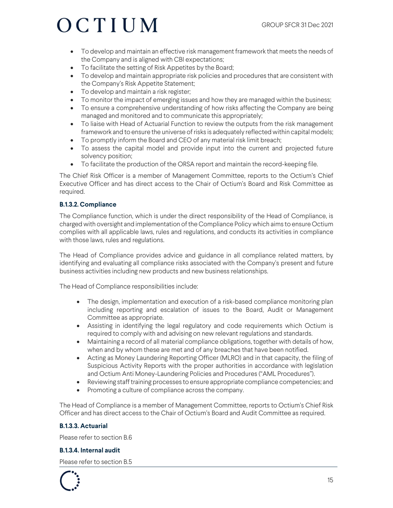- To develop and maintain an effective risk management framework that meets the needs of the Company and is aligned with CBI expectations;
- To facilitate the setting of Risk Appetites by the Board;
- To develop and maintain appropriate risk policies and procedures that are consistent with the Company's Risk Appetite Statement;
- To develop and maintain a risk register;
- To monitor the impact of emerging issues and how they are managed within the business;
- To ensure a comprehensive understanding of how risks affecting the Company are being managed and monitored and to communicate this appropriately;
- To liaise with Head of Actuarial Function to review the outputs from the risk management framework and to ensure the universe of risks is adequately reflected within capital models;
- To promptly inform the Board and CEO of any material risk limit breach;
- To assess the capital model and provide input into the current and projected future solvency position;
- To facilitate the production of the ORSA report and maintain the record-keeping file.

The Chief Risk Officer is a member of Management Committee, reports to the Octium's Chief Executive Officer and has direct access to the Chair of Octium's Board and Risk Committee as required.

#### **B.1.3.2. Compliance**

The Compliance function, which is under the direct responsibility of the Head of Compliance, is charged with oversight and implementation of the Compliance Policy which aims to ensure Octium complies with all applicable laws, rules and regulations, and conducts its activities in compliance with those laws, rules and regulations.

The Head of Compliance provides advice and guidance in all compliance related matters, by identifying and evaluating all compliance risks associated with the Company's present and future business activities including new products and new business relationships.

The Head of Compliance responsibilities include:

- The design, implementation and execution of a risk-based compliance monitoring plan including reporting and escalation of issues to the Board, Audit or Management Committee as appropriate.
- Assisting in identifying the legal regulatory and code requirements which Octium is required to comply with and advising on new relevant regulations and standards.
- Maintaining a record of all material compliance obligations, together with details of how, when and by whom these are met and of any breaches that have been notified.
- Acting as Money Laundering Reporting Officer (MLRO) and in that capacity, the filing of Suspicious Activity Reports with the proper authorities in accordance with legislation and Octium Anti Money-Laundering Policies and Procedures ("AML Procedures").
- Reviewing staff training processes to ensure appropriate compliance competencies; and
- Promoting a culture of compliance across the company.

The Head of Compliance is a member of Management Committee, reports to Octium's Chief Risk Officer and has direct access to the Chair of Octium's Board and Audit Committee as required.

#### **B.1.3.3. Actuarial**

Please refer to section B.6

#### **B.1.3.4. Internal audit**

Please refer to section B.5

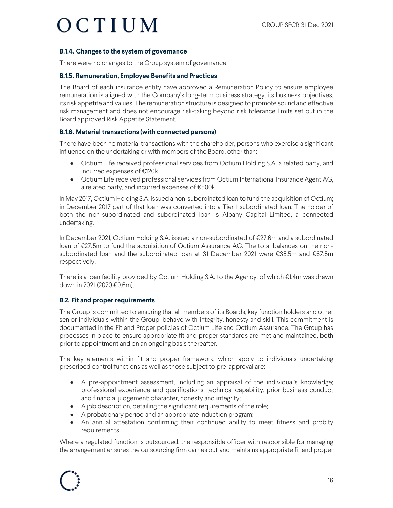#### **B.1.4. Changes to the system of governance**

There were no changes to the Group system of governance.

#### **B.1.5. Remuneration, Employee Benefits and Practices**

The Board of each insurance entity have approved a Remuneration Policy to ensure employee remuneration is aligned with the Company's long-term business strategy, its business objectives, its risk appetite and values. The remuneration structure is designed to promote sound and effective risk management and does not encourage risk-taking beyond risk tolerance limits set out in the Board approved Risk Appetite Statement.

#### **B.1.6. Material transactions (with connected persons)**

There have been no material transactions with the shareholder, persons who exercise a significant influence on the undertaking or with members of the Board, other than:

- Octium Life received professional services from Octium Holding S.A, a related party, and incurred expenses of €120k
- Octium Life received professional services from Octium International Insurance Agent AG, a related party, and incurred expenses of €500k

In May 2017, Octium Holding S.A. issued a non-subordinated loan to fund the acquisition of Octium; in December 2017 part of that loan was converted into a Tier 1 subordinated loan. The holder of both the non-subordinated and subordinated loan is Albany Capital Limited, a connected undertaking.

In December 2021, Octium Holding S.A. issued a non-subordinated of €27.6m and a subordinated loan of €27.5m to fund the acquisition of Octium Assurance AG. The total balances on the nonsubordinated loan and the subordinated loan at 31 December 2021 were €35.5m and €67.5m respectively.

There is a loan facility provided by Octium Holding S.A. to the Agency, of which €1.4m was drawn down in 2021 (2020:€0.6m).

#### **B.2. Fit and proper requirements**

The Group is committed to ensuring that all members of its Boards, key function holders and other senior individuals within the Group, behave with integrity, honesty and skill. This commitment is documented in the Fit and Proper policies of Octium Life and Octium Assurance. The Group has processes in place to ensure appropriate fit and proper standards are met and maintained, both prior to appointment and on an ongoing basis thereafter.

The key elements within fit and proper framework, which apply to individuals undertaking prescribed control functions as well as those subject to pre-approval are:

- A pre-appointment assessment, including an appraisal of the individual's knowledge; professional experience and qualifications; technical capability; prior business conduct and financial judgement; character, honesty and integrity;
- A job description, detailing the significant requirements of the role;
- A probationary period and an appropriate induction program;
- An annual attestation confirming their continued ability to meet fitness and probity requirements.

Where a regulated function is outsourced, the responsible officer with responsible for managing the arrangement ensures the outsourcing firm carries out and maintains appropriate fit and proper

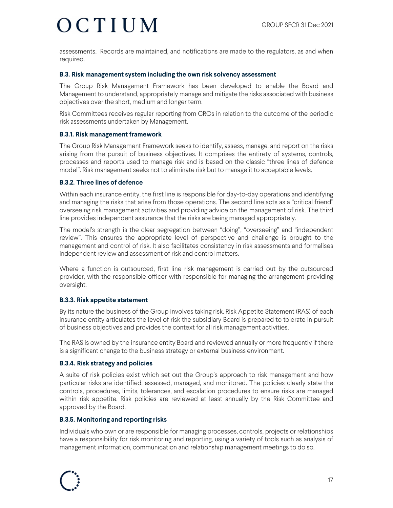assessments. Records are maintained, and notifications are made to the regulators, as and when required.

#### **B.3. Risk management system including the own risk solvency assessment**

The Group Risk Management Framework has been developed to enable the Board and Management to understand, appropriately manage and mitigate the risks associated with business objectives over the short, medium and longer term.

Risk Committees receives regular reporting from CROs in relation to the outcome of the periodic risk assessments undertaken by Management.

#### **B.3.1. Risk management framework**

The Group Risk Management Framework seeks to identify, assess, manage, and report on the risks arising from the pursuit of business objectives. It comprises the entirety of systems, controls, processes and reports used to manage risk and is based on the classic "three lines of defence model". Risk management seeks not to eliminate risk but to manage it to acceptable levels.

#### **B.3.2. Three lines of defence**

Within each insurance entity, the first line is responsible for day-to-day operations and identifying and managing the risks that arise from those operations. The second line acts as a "critical friend" overseeing risk management activities and providing advice on the management of risk. The third line provides independent assurance that the risks are being managed appropriately.

The model's strength is the clear segregation between "doing", "overseeing" and "independent review". This ensures the appropriate level of perspective and challenge is brought to the management and control of risk. It also facilitates consistency in risk assessments and formalises independent review and assessment of risk and control matters.

Where a function is outsourced, first line risk management is carried out by the outsourced provider, with the responsible officer with responsible for managing the arrangement providing oversight.

#### **B.3.3. Risk appetite statement**

By its nature the business of the Group involves taking risk. Risk Appetite Statement (RAS) of each insurance entity articulates the level of risk the subsidiary Board is prepared to tolerate in pursuit of business objectives and provides the context for all risk management activities.

The RAS is owned by the insurance entity Board and reviewed annually or more frequently if there is a significant change to the business strategy or external business environment.

#### **B.3.4. Risk strategy and policies**

A suite of risk policies exist which set out the Group's approach to risk management and how particular risks are identified, assessed, managed, and monitored. The policies clearly state the controls, procedures, limits, tolerances, and escalation procedures to ensure risks are managed within risk appetite. Risk policies are reviewed at least annually by the Risk Committee and approved by the Board.

#### **B.3.5. Monitoring and reporting risks**

Individuals who own or are responsible for managing processes, controls, projects or relationships have a responsibility for risk monitoring and reporting, using a variety of tools such as analysis of management information, communication and relationship management meetings to do so.

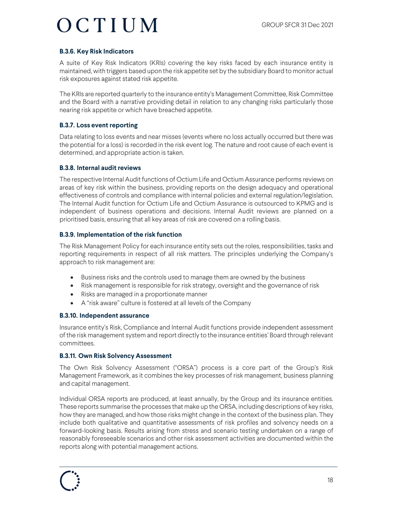#### **B.3.6. Key Risk Indicators**

A suite of Key Risk Indicators (KRIs) covering the key risks faced by each insurance entity is maintained, with triggers based upon the risk appetite set by the subsidiary Board to monitor actual risk exposures against stated risk appetite.

The KRIs are reported quarterly to the insurance entity's Management Committee, Risk Committee and the Board with a narrative providing detail in relation to any changing risks particularly those nearing risk appetite or which have breached appetite.

#### **B.3.7. Loss event reporting**

Data relating to loss events and near misses (events where no loss actually occurred but there was the potential for a loss) is recorded in the risk event log. The nature and root cause of each event is determined, and appropriate action is taken.

#### **B.3.8. Internal audit reviews**

The respective Internal Audit functions of Octium Life and Octium Assurance performs reviews on areas of key risk within the business, providing reports on the design adequacy and operational effectiveness of controls and compliance with internal policies and external regulation/legislation. The Internal Audit function for Octium Life and Octium Assurance is outsourced to KPMG and is independent of business operations and decisions. Internal Audit reviews are planned on a prioritised basis, ensuring that all key areas of risk are covered on a rolling basis.

#### **B.3.9. Implementation of the risk function**

The Risk Management Policy for each insurance entity sets out the roles, responsibilities, tasks and reporting requirements in respect of all risk matters. The principles underlying the Company's approach to risk management are:

- Business risks and the controls used to manage them are owned by the business
- Risk management is responsible for risk strategy, oversight and the governance of risk
- Risks are managed in a proportionate manner
- A "risk aware" culture is fostered at all levels of the Company

#### **B.3.10. Independent assurance**

Insurance entity's Risk, Compliance and Internal Audit functions provide independent assessment of the risk management system and report directly to the insurance entities' Board through relevant committees.

#### **B.3.11. Own Risk Solvency Assessment**

The Own Risk Solvency Assessment ("ORSA") process is a core part of the Group's Risk Management Framework, as it combines the key processes of risk management, business planning and capital management.

Individual ORSA reports are produced, at least annually, by the Group and its insurance entities. These reports summarise the processes that make up the ORSA, including descriptions of key risks, how they are managed, and how those risks might change in the context of the business plan. They include both qualitative and quantitative assessments of risk profiles and solvency needs on a forward-looking basis. Results arising from stress and scenario testing undertaken on a range of reasonably foreseeable scenarios and other risk assessment activities are documented within the reports along with potential management actions.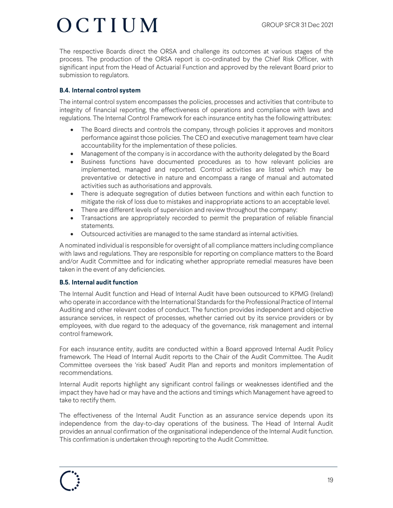The respective Boards direct the ORSA and challenge its outcomes at various stages of the process. The production of the ORSA report is co-ordinated by the Chief Risk Officer, with significant input from the Head of Actuarial Function and approved by the relevant Board prior to submission to regulators.

#### **B.4. Internal control system**

The internal control system encompasses the policies, processes and activities that contribute to integrity of financial reporting, the effectiveness of operations and compliance with laws and regulations. The Internal Control Framework for each insurance entity has the following attributes:

- The Board directs and controls the company, through policies it approves and monitors performance against those policies. The CEO and executive management team have clear accountability for the implementation of these policies.
- Management of the company is in accordance with the authority delegated by the Board
- Business functions have documented procedures as to how relevant policies are implemented, managed and reported. Control activities are listed which may be preventative or detective in nature and encompass a range of manual and automated activities such as authorisations and approvals.
- There is adequate segregation of duties between functions and within each function to mitigate the risk of loss due to mistakes and inappropriate actions to an acceptable level.
- There are different levels of supervision and review throughout the company:
- Transactions are appropriately recorded to permit the preparation of reliable financial statements.
- Outsourced activities are managed to the same standard as internal activities.

A nominated individual is responsible for oversight of all compliance matters including compliance with laws and regulations. They are responsible for reporting on compliance matters to the Board and/or Audit Committee and for indicating whether appropriate remedial measures have been taken in the event of any deficiencies.

#### **B.5. Internal audit function**

The Internal Audit function and Head of Internal Audit have been outsourced to KPMG (Ireland) who operate in accordance with the International Standards for the Professional Practice of Internal Auditing and other relevant codes of conduct. The function provides independent and objective assurance services, in respect of processes, whether carried out by its service providers or by employees, with due regard to the adequacy of the governance, risk management and internal control framework.

For each insurance entity, audits are conducted within a Board approved Internal Audit Policy framework. The Head of Internal Audit reports to the Chair of the Audit Committee. The Audit Committee oversees the 'risk based' Audit Plan and reports and monitors implementation of recommendations.

Internal Audit reports highlight any significant control failings or weaknesses identified and the impact they have had or may have and the actions and timings which Management have agreed to take to rectify them.

The effectiveness of the Internal Audit Function as an assurance service depends upon its independence from the day-to-day operations of the business. The Head of Internal Audit provides an annual confirmation of the organisational independence of the Internal Audit function. This confirmation is undertaken through reporting to the Audit Committee.

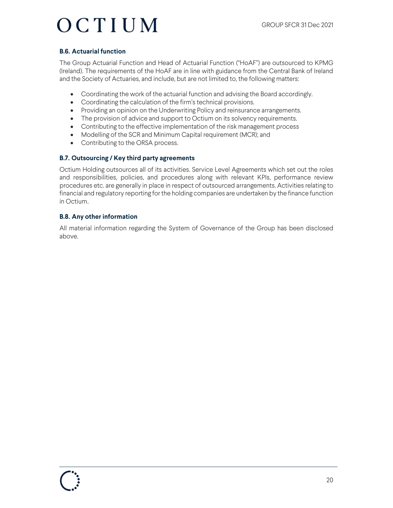#### **B.6. Actuarial function**

The Group Actuarial Function and Head of Actuarial Function ("HoAF") are outsourced to KPMG (Ireland). The requirements of the HoAF are in line with guidance from the Central Bank of Ireland and the Society of Actuaries, and include, but are not limited to, the following matters:

- Coordinating the work of the actuarial function and advising the Board accordingly.
- Coordinating the calculation of the firm's technical provisions.
- Providing an opinion on the Underwriting Policy and reinsurance arrangements.
- The provision of advice and support to Octium on its solvency requirements.
- Contributing to the effective implementation of the risk management process
- Modelling of the SCR and Minimum Capital requirement (MCR); and
- Contributing to the ORSA process.

#### **B.7. Outsourcing / Key third party agreements**

Octium Holding outsources all of its activities. Service Level Agreements which set out the roles and responsibilities, policies, and procedures along with relevant KPIs, performance review procedures etc. are generally in place in respect of outsourced arrangements. Activities relating to financial and regulatory reporting for the holding companies are undertaken by the finance function in Octium.

#### **B.8. Any other information**

All material information regarding the System of Governance of the Group has been disclosed above.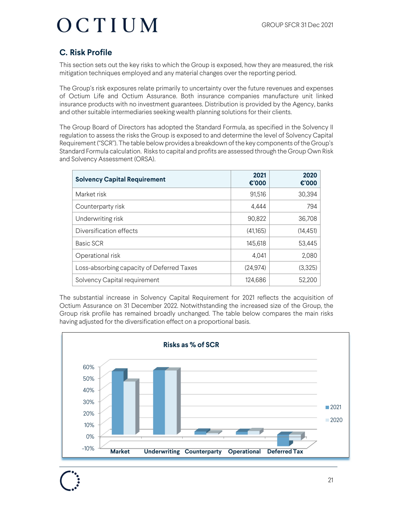### **C. Risk Profile**

This section sets out the key risks to which the Group is exposed, how they are measured, the risk mitigation techniques employed and any material changes over the reporting period.

The Group's risk exposures relate primarily to uncertainty over the future revenues and expenses of Octium Life and Octium Assurance. Both insurance companies manufacture unit linked insurance products with no investment guarantees. Distribution is provided by the Agency, banks and other suitable intermediaries seeking wealth planning solutions for their clients.

The Group Board of Directors has adopted the Standard Formula, as specified in the Solvency II regulation to assess the risks the Group is exposed to and determine the level of Solvency Capital Requirement ("SCR"). The table below provides a breakdown of the key components of the Group's Standard Formula calculation. Risks to capital and profits are assessed through the Group Own Risk and Solvency Assessment (ORSA).

| <b>Solvency Capital Requirement</b>       | 2021<br>€'000 | 2020<br>€'000 |
|-------------------------------------------|---------------|---------------|
| Market risk                               | 91,516        | 30,394        |
| Counterparty risk                         | 4,444         | 794           |
| Underwriting risk                         | 90,822        | 36,708        |
| Diversification effects                   | (41,165)      | (14, 451)     |
| Basic SCR                                 | 145,618       | 53,445        |
| Operational risk                          | 4,041         | 2,080         |
| Loss-absorbing capacity of Deferred Taxes | (24, 974)     | (3,325)       |
| Solvency Capital requirement              | 124,686       | 52,200        |

The substantial increase in Solvency Capital Requirement for 2021 reflects the acquisition of Octium Assurance on 31 December 2022. Notwithstanding the increased size of the Group, the Group risk profile has remained broadly unchanged. The table below compares the main risks having adjusted for the diversification effect on a proportional basis.

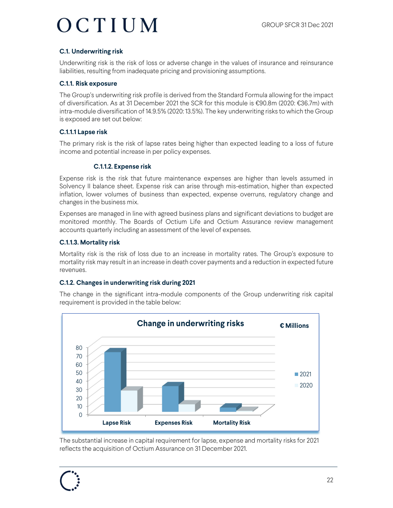#### **C.1. Underwriting risk**

Underwriting risk is the risk of loss or adverse change in the values of insurance and reinsurance liabilities, resulting from inadequate pricing and provisioning assumptions.

#### **C.1.1. Risk exposure**

The Group's underwriting risk profile is derived from the Standard Formula allowing for the impact of diversification. As at 31 December 2021 the SCR for this module is €90.8m (2020: €36.7m) with intra-module diversification of 14.9.5% (2020: 13.5%). The key underwriting risks to which the Group is exposed are set out below:

#### **C.1.1.1 Lapse risk**

The primary risk is the risk of lapse rates being higher than expected leading to a loss of future income and potential increase in per policy expenses.

#### **C.1.1.2. Expense risk**

Expense risk is the risk that future maintenance expenses are higher than levels assumed in Solvency II balance sheet. Expense risk can arise through mis-estimation, higher than expected inflation, lower volumes of business than expected, expense overruns, regulatory change and changes in the business mix.

Expenses are managed in line with agreed business plans and significant deviations to budget are monitored monthly. The Boards of Octium Life and Octium Assurance review management accounts quarterly including an assessment of the level of expenses.

#### **C.1.1.3. Mortality risk**

Mortality risk is the risk of loss due to an increase in mortality rates. The Group's exposure to mortality risk may result in an increase in death cover payments and a reduction in expected future revenues.

#### **C.1.2. Changes in underwriting risk during 2021**

The change in the significant intra-module components of the Group underwriting risk capital requirement is provided in the table below:



The substantial increase in capital requirement for lapse, expense and mortality risks for 2021 reflects the acquisition of Octium Assurance on 31 December 2021.

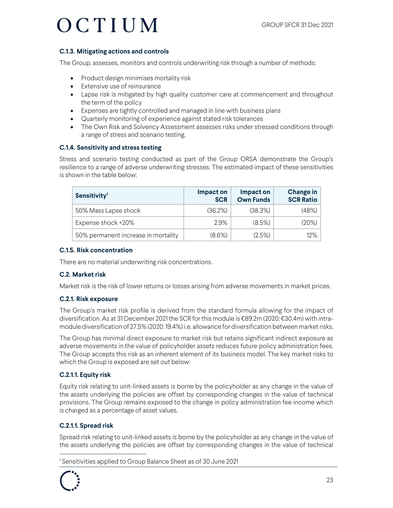#### **C.1.3. Mitigating actions and controls**

The Group, assesses, monitors and controls underwriting risk through a number of methods:

- Product design minimises mortality risk
- Extensive use of reinsurance
- Lapse risk is mitigated by high quality customer care at commencement and throughout the term of the policy
- Expenses are tightly controlled and managed in line with business plans
- Quarterly monitoring of experience against stated risk tolerances
- The Own Risk and Solvency Assessment assesses risks under stressed conditions through a range of stress and scenario testing.

#### **C.1.4. Sensitivity and stress testing**

Stress and scenario testing conducted as part of the Group ORSA demonstrate the Group's resilience to a range of adverse underwriting stresses. The estimated impact of these sensitivities is shown in the table below:

| Sensitivity <sup>1</sup>            | Impact on<br><b>SCR</b> | Impact on<br><b>Own Funds</b> | Change in<br><b>SCR Ratio</b> |
|-------------------------------------|-------------------------|-------------------------------|-------------------------------|
| 50% Mass Lapse shock                | (36.2%)                 | (38.3%)                       | (48%)                         |
| Expense shock +20%                  | $2.9\%$                 | $(8.5\%)$                     | (20%)                         |
| 50% permanent increase in mortality | $(8.6\%)$               | $(2.5\%)$                     | $12\%$                        |

#### **C.1.5. Risk concentration**

There are no material underwriting risk concentrations.

#### **C.2. Market risk**

Market risk is the risk of lower returns or losses arising from adverse movements in market prices.

#### **C.2.1. Risk exposure**

The Group's market risk profile is derived from the standard formula allowing for the impact of diversification. As at 31 December 2021 the SCR for this module is €89.2m (2020: €30.4m) with intramodule diversification of 27.5% (2020: 19.4%) i.e. allowance for diversification between market risks.

The Group has minimal direct exposure to market risk but retains significant indirect exposure as adverse movements in the value of policyholder assets reduces future policy administration fees. The Group accepts this risk as an inherent element of its business model. The key market risks to which the Group is exposed are set out below:

#### **C.2.1.1. Equity risk**

Equity risk relating to unit-linked assets is borne by the policyholder as any change in the value of the assets underlying the policies are offset by corresponding changes in the value of technical provisions. The Group remains exposed to the change in policy administration fee income which is charged as a percentage of asset values.

#### **C.2.1.1. Spread risk**

Spread risk relating to unit-linked assets is borne by the policyholder as any change in the value of the assets underlying the policies are offset by corresponding changes in the value of technical

1 Sensitivities applied to Group Balance Sheet as of 30 June 2021

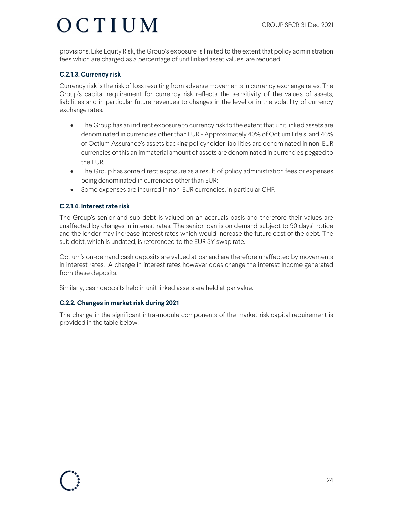provisions. Like Equity Risk, the Group's exposure is limited to the extent that policy administration fees which are charged as a percentage of unit linked asset values, are reduced.

#### **C.2.1.3. Currency risk**

Currency risk is the risk of loss resulting from adverse movements in currency exchange rates. The Group's capital requirement for currency risk reflects the sensitivity of the values of assets, liabilities and in particular future revenues to changes in the level or in the volatility of currency exchange rates.

- The Group has an indirect exposure to currency risk to the extent that unit linked assets are denominated in currencies other than EUR - Approximately 40% of Octium Life's and 46% of Octium Assurance's assets backing policyholder liabilities are denominated in non-EUR currencies of this an immaterial amount of assets are denominated in currencies pegged to the EUR.
- The Group has some direct exposure as a result of policy administration fees or expenses being denominated in currencies other than EUR;
- Some expenses are incurred in non-EUR currencies, in particular CHF.

#### **C.2.1.4. Interest rate risk**

The Group's senior and sub debt is valued on an accruals basis and therefore their values are unaffected by changes in interest rates. The senior loan is on demand subject to 90 days' notice and the lender may increase interest rates which would increase the future cost of the debt. The sub debt, which is undated, is referenced to the EUR 5Y swap rate.

Octium's on-demand cash deposits are valued at par and are therefore unaffected by movements in interest rates. A change in interest rates however does change the interest income generated from these deposits.

Similarly, cash deposits held in unit linked assets are held at par value.

#### **C.2.2. Changes in market risk during 2021**

The change in the significant intra-module components of the market risk capital requirement is provided in the table below: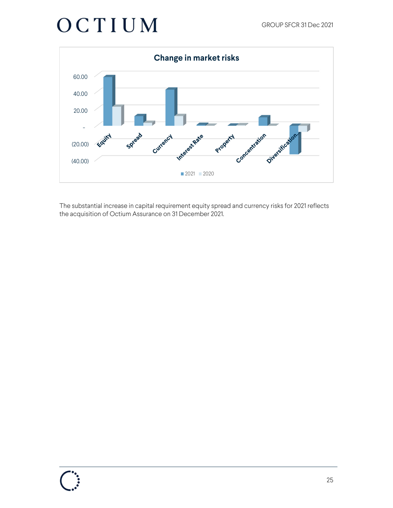

The substantial increase in capital requirement equity spread and currency risks for 2021 reflects the acquisition of Octium Assurance on 31 December 2021.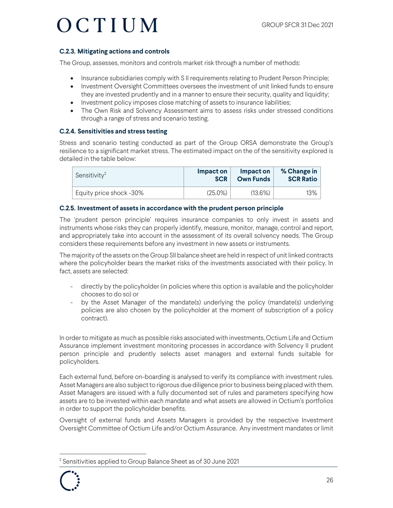#### **C.2.3. Mitigating actions and controls**

The Group, assesses, monitors and controls market risk through a number of methods:

- Insurance subsidiaries comply with S II requirements relating to Prudent Person Principle;
- Investment Oversight Committees oversees the investment of unit linked funds to ensure they are invested prudently and in a manner to ensure their security, quality and liquidity;
- Investment policy imposes close matching of assets to insurance liabilities;
- The Own Risk and Solvency Assessment aims to assess risks under stressed conditions through a range of stress and scenario testing.

#### **C.2.4. Sensitivities and stress testing**

Stress and scenario testing conducted as part of the Group ORSA demonstrate the Group's resilience to a significant market stress. The estimated impact on the of the sensitivity explored is detailed in the table below:

| Sensitivity <sup>2</sup> | Impact on  | Impact on        | % Change in      |
|--------------------------|------------|------------------|------------------|
|                          | <b>SCR</b> | <b>Own Funds</b> | <b>SCR Ratio</b> |
| Equity price shock -30%  | $(25.0\%)$ | $(13.6\%)$       | 13%              |

#### **C.2.5. Investment of assets in accordance with the prudent person principle**

The 'prudent person principle' requires insurance companies to only invest in assets and instruments whose risks they can properly identify, measure, monitor, manage, control and report, and appropriately take into account in the assessment of its overall solvency needs. The Group considers these requirements before any investment in new assets or instruments.

The majority of the assets on the Group SII balance sheet are held in respect of unit linked contracts where the policyholder bears the market risks of the investments associated with their policy. In fact, assets are selected:

- directly by the policyholder (in policies where this option is available and the policyholder chooses to do so) or
- by the Asset Manager of the mandate(s) underlying the policy (mandate(s) underlying policies are also chosen by the policyholder at the moment of subscription of a policy contract).

In order to mitigate as much as possible risks associated with investments, Octium Life and Octium Assurance implement investment monitoring processes in accordance with Solvency II prudent person principle and prudently selects asset managers and external funds suitable for policyholders.

Each external fund, before on-boarding is analysed to verify its compliance with investment rules. Asset Managers are also subject to rigorous due diligence prior to business being placed with them. Asset Managers are issued with a fully documented set of rules and parameters specifying how assets are to be invested within each mandate and what assets are allowed in Octium's portfolios in order to support the policyholder benefits.

Oversight of external funds and Assets Managers is provided by the respective Investment Oversight Committee of Octium Life and/or Octium Assurance. Any investment mandates or limit

<sup>2</sup> Sensitivities applied to Group Balance Sheet as of 30 June 2021

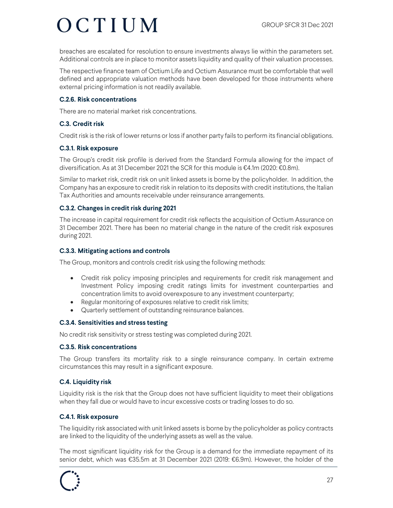breaches are escalated for resolution to ensure investments always lie within the parameters set. Additional controls are in place to monitor assets liquidity and quality of their valuation processes.

The respective finance team of Octium Life and Octium Assurance must be comfortable that well defined and appropriate valuation methods have been developed for those instruments where external pricing information is not readily available.

#### **C.2.6. Risk concentrations**

There are no material market risk concentrations.

#### **C.3. Credit risk**

Credit risk is the risk of lower returns or loss if another party fails to perform its financial obligations.

#### **C.3.1. Risk exposure**

The Group's credit risk profile is derived from the Standard Formula allowing for the impact of diversification. As at 31 December 2021 the SCR for this module is €4.1m (2020: €0.8m).

Similar to market risk, credit risk on unit linked assets is borne by the policyholder. In addition, the Company has an exposure to credit risk in relation to its deposits with credit institutions, the Italian Tax Authorities and amounts receivable under reinsurance arrangements.

#### **C.3.2. Changes in credit risk during 2021**

The increase in capital requirement for credit risk reflects the acquisition of Octium Assurance on 31 December 2021. There has been no material change in the nature of the credit risk exposures during 2021.

#### **C.3.3. Mitigating actions and controls**

The Group, monitors and controls credit risk using the following methods:

- Credit risk policy imposing principles and requirements for credit risk management and Investment Policy imposing credit ratings limits for investment counterparties and concentration limits to avoid overexposure to any investment counterparty;
- Regular monitoring of exposures relative to credit risk limits;
- Quarterly settlement of outstanding reinsurance balances.

#### **C.3.4. Sensitivities and stress testing**

No credit risk sensitivity or stress testing was completed during 2021.

#### **C.3.5. Risk concentrations**

The Group transfers its mortality risk to a single reinsurance company. In certain extreme circumstances this may result in a significant exposure.

#### **C.4. Liquidity risk**

Liquidity risk is the risk that the Group does not have sufficient liquidity to meet their obligations when they fall due or would have to incur excessive costs or trading losses to do so.

#### **C.4.1. Risk exposure**

The liquidity risk associated with unit linked assets is borne by the policyholder as policy contracts are linked to the liquidity of the underlying assets as well as the value.

The most significant liquidity risk for the Group is a demand for the immediate repayment of its senior debt, which was €35.5m at 31 December 2021 (2019: €6.9m). However, the holder of the

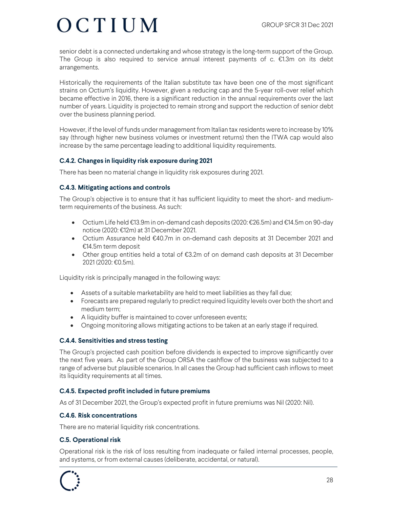senior debt is a connected undertaking and whose strategy is the long-term support of the Group. The Group is also required to service annual interest payments of c.  $E1.3m$  on its debt arrangements.

Historically the requirements of the Italian substitute tax have been one of the most significant strains on Octium's liquidity. However, given a reducing cap and the 5-year roll-over relief which became effective in 2016, there is a significant reduction in the annual requirements over the last number of years. Liquidity is projected to remain strong and support the reduction of senior debt over the business planning period.

However, if the level of funds under management from Italian tax residents were to increase by 10% say (through higher new business volumes or investment returns) then the ITWA cap would also increase by the same percentage leading to additional liquidity requirements.

#### **C.4.2. Changes in liquidity risk exposure during 2021**

There has been no material change in liquidity risk exposures during 2021.

#### **C.4.3. Mitigating actions and controls**

The Group's objective is to ensure that it has sufficient liquidity to meet the short- and mediumterm requirements of the business. As such:

- Octium Life held €13.9m in on-demand cash deposits (2020: €26.5m) and €14.5m on 90-day notice (2020: €12m) at 31 December 2021.
- Octium Assurance held €40.7m in on-demand cash deposits at 31 December 2021 and €14.5m term deposit
- Other group entities held a total of €3.2m of on demand cash deposits at 31 December 2021 (2020: €0.5m).

Liquidity risk is principally managed in the following ways:

- Assets of a suitable marketability are held to meet liabilities as they fall due;
- Forecasts are prepared regularly to predict required liquidity levels over both the short and medium term;
- A liquidity buffer is maintained to cover unforeseen events;
- Ongoing monitoring allows mitigating actions to be taken at an early stage if required.

#### **C.4.4. Sensitivities and stress testing**

The Group's projected cash position before dividends is expected to improve significantly over the next five years. As part of the Group ORSA the cashflow of the business was subjected to a range of adverse but plausible scenarios. In all cases the Group had sufficient cash inflows to meet its liquidity requirements at all times.

#### **C.4.5. Expected profit included in future premiums**

As of 31 December 2021, the Group's expected profit in future premiums was Nil (2020: Nil).

#### **C.4.6. Risk concentrations**

There are no material liquidity risk concentrations.

#### **C.5. Operational risk**

Operational risk is the risk of loss resulting from inadequate or failed internal processes, people, and systems, or from external causes (deliberate, accidental, or natural).

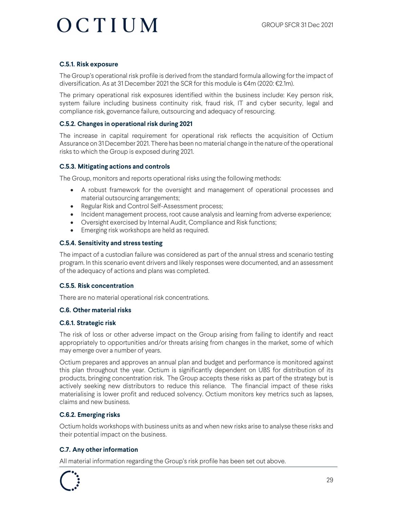#### **C.5.1. Risk exposure**

The Group's operational risk profile is derived from the standard formula allowing for the impact of diversification. As at 31 December 2021 the SCR for this module is  $\epsilon$ 4m (2020:  $\epsilon$ 2.1m).

The primary operational risk exposures identified within the business include: Key person risk, system failure including business continuity risk, fraud risk, IT and cyber security, legal and compliance risk, governance failure, outsourcing and adequacy of resourcing.

#### **C.5.2. Changes in operational risk during 2021**

The increase in capital requirement for operational risk reflects the acquisition of Octium Assurance on 31 December 2021. There has been no material change in the nature of the operational risks to which the Group is exposed during 2021.

#### **C.5.3. Mitigating actions and controls**

The Group, monitors and reports operational risks using the following methods:

- A robust framework for the oversight and management of operational processes and material outsourcing arrangements;
- Regular Risk and Control Self-Assessment process;
- Incident management process, root cause analysis and learning from adverse experience;
- Oversight exercised by Internal Audit, Compliance and Risk functions;
- Emerging risk workshops are held as required.

#### **C.5.4. Sensitivity and stress testing**

The impact of a custodian failure was considered as part of the annual stress and scenario testing program. In this scenario event drivers and likely responses were documented, and an assessment of the adequacy of actions and plans was completed.

#### **C.5.5. Risk concentration**

There are no material operational risk concentrations.

#### **C.6. Other material risks**

#### **C.6.1. Strategic risk**

The risk of loss or other adverse impact on the Group arising from failing to identify and react appropriately to opportunities and/or threats arising from changes in the market, some of which may emerge over a number of years.

Octium prepares and approves an annual plan and budget and performance is monitored against this plan throughout the year. Octium is significantly dependent on UBS for distribution of its products, bringing concentration risk. The Group accepts these risks as part of the strategy but is actively seeking new distributors to reduce this reliance. The financial impact of these risks materialising is lower profit and reduced solvency. Octium monitors key metrics such as lapses, claims and new business.

#### **C.6.2. Emerging risks**

Octium holds workshops with business units as and when new risks arise to analyse these risks and their potential impact on the business.

#### **C.7. Any other information**

All material information regarding the Group's risk profile has been set out above.

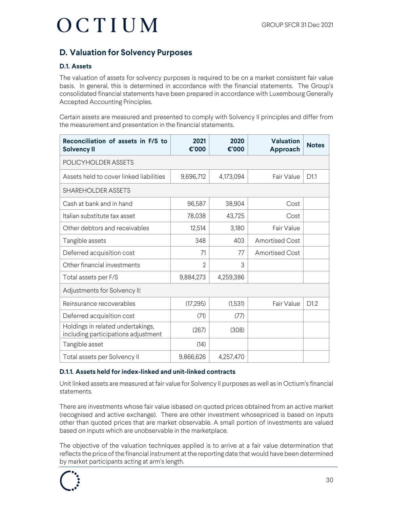### **D. Valuation for Solvency Purposes**

#### **D.1. Assets**

The valuation of assets for solvency purposes is required to be on a market consistent fair value basis. In general, this is determined in accordance with the financial statements. The Group's consolidated financial statements have been prepared in accordance with Luxembourg Generally Accepted Accounting Principles.

Certain assets are measured and presented to comply with Solvency II principles and differ from the measurement and presentation in the financial statements.

| Reconciliation of assets in F/S to<br><b>Solvency II</b>                 | 2021<br>€'000  | 2020<br>€'000 | <b>Valuation</b><br>Approach | <b>Notes</b> |  |  |  |
|--------------------------------------------------------------------------|----------------|---------------|------------------------------|--------------|--|--|--|
| POLICYHOLDER ASSETS                                                      |                |               |                              |              |  |  |  |
| Assets held to cover linked liabilities                                  | 9,696,712      | 4,173,094     | Fair Value                   | D1.1         |  |  |  |
| <b>SHAREHOLDER ASSETS</b>                                                |                |               |                              |              |  |  |  |
| Cash at bank and in hand                                                 | 96,587         | 38,904        | Cost                         |              |  |  |  |
| Italian substitute tax asset                                             | 78,038         | 43,725        | Cost                         |              |  |  |  |
| Other debtors and receivables                                            | 12,514         | 3,180         | Fair Value                   |              |  |  |  |
| Tangible assets                                                          | 348            | 403           | <b>Amortised Cost</b>        |              |  |  |  |
| Deferred acquisition cost                                                | 71             | 77            | <b>Amortised Cost</b>        |              |  |  |  |
| Other financial investments                                              | $\mathfrak{D}$ | 3             |                              |              |  |  |  |
| Total assets per F/S                                                     | 9,884,273      | 4,259,386     |                              |              |  |  |  |
| Adjustments for Solvency II:                                             |                |               |                              |              |  |  |  |
| Reinsurance recoverables                                                 | (17, 295)      | (1,531)       | Fair Value                   | D1.2         |  |  |  |
| Deferred acquisition cost                                                | (71)           | (77)          |                              |              |  |  |  |
| Holdings in related undertakings,<br>including participations adjustment | (267)          | (308)         |                              |              |  |  |  |
| Tangible asset                                                           | (14)           |               |                              |              |  |  |  |
| Total assets per Solvency II                                             | 9,866,626      | 4,257,470     |                              |              |  |  |  |

#### **D.1.1. Assets held for index-linked and unit-linked contracts**

Unit linked assets are measured at fair value for Solvency II purposes as well as in Octium's financial statements.

There are investments whose fair value isbased on quoted prices obtained from an active market (recognised and active exchange). There are other investment whosepriced is based on inputs other than quoted prices that are market observable. A small portion of investments are valued based on inputs which are unobservable in the marketplace.

The objective of the valuation techniques applied is to arrive at a fair value determination that reflects the price of the financial instrument at the reporting date that would have been determined by market participants acting at arm's length.

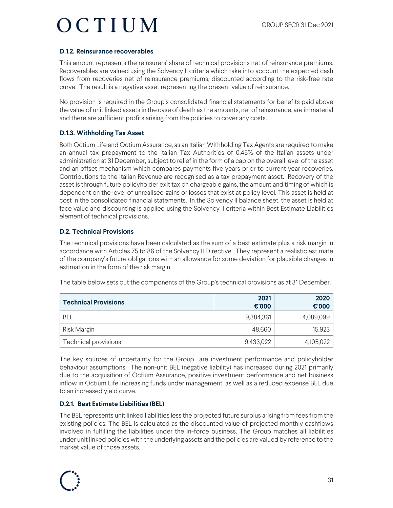#### **D.1.2. Reinsurance recoverables**

This amount represents the reinsurers' share of technical provisions net of reinsurance premiums. Recoverables are valued using the Solvency II criteria which take into account the expected cash flows from recoveries net of reinsurance premiums, discounted according to the risk-free rate curve. The result is a negative asset representing the present value of reinsurance.

No provision is required in the Group's consolidated financial statements for benefits paid above the value of unit linked assets in the case of death as the amounts, net of reinsurance, are immaterial and there are sufficient profits arising from the policies to cover any costs.

#### **D.1.3. Withholding Tax Asset**

Both Octium Life and Octium Assurance, as an Italian Withholding Tax Agents are required to make an annual tax prepayment to the Italian Tax Authorities of 0.45% of the Italian assets under administration at 31 December, subject to relief in the form of a cap on the overall level of the asset and an offset mechanism which compares payments five years prior to current year recoveries. Contributions to the Italian Revenue are recognised as a tax prepayment asset. Recovery of the asset is through future policyholder exit tax on chargeable gains, the amount and timing of which is dependent on the level of unrealised gains or losses that exist at policy level. This asset is held at cost in the consolidated financial statements. In the Solvency II balance sheet, the asset is held at face value and discounting is applied using the Solvency II criteria within Best Estimate Liabilities element of technical provisions.

#### **D.2. Technical Provisions**

The technical provisions have been calculated as the sum of a best estimate plus a risk margin in accordance with Articles 75 to 86 of the Solvency II Directive. They represent a realistic estimate of the company's future obligations with an allowance for some deviation for plausible changes in estimation in the form of the risk margin.

The table below sets out the components of the Group's technical provisions as at 31 December.

| <b>Technical Provisions</b> | 2021<br>$\epsilon$ '000 | 2020<br>$\epsilon$ '000 |
|-----------------------------|-------------------------|-------------------------|
| BEL                         | 9,384,361               | 4,089,099               |
| Risk Margin                 | 48,660                  | 15,923                  |
| Technical provisions        | 9,433,022               | 4,105,022               |

The key sources of uncertainty for the Group are investment performance and policyholder behaviour assumptions. The non-unit BEL (negative liability) has increased during 2021 primarily due to the acquisition of Octium Assurance, positive investment performance and net business inflow in Octium Life increasing funds under management, as well as a reduced expense BEL due to an increased yield curve.

#### **D.2.1. Best Estimate Liabilities (BEL)**

The BEL represents unit linked liabilities less the projected future surplus arising from fees from the existing policies. The BEL is calculated as the discounted value of projected monthly cashflows involved in fulfilling the liabilities under the in-force business. The Group matches all liabilities under unit linked policies with the underlying assets and the policies are valued by reference to the market value of those assets.

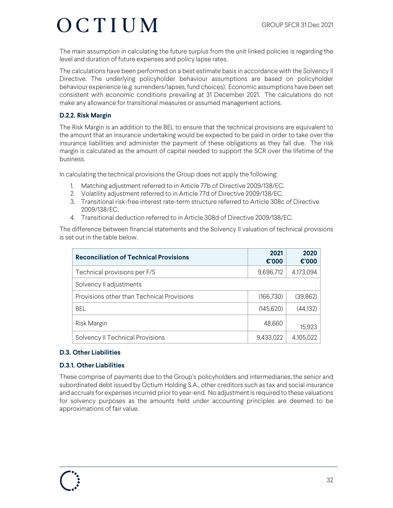The main assumption in calculating the future surplus from the unit linked policies is regarding the level and duration of future expenses and policy lapse rates.

The calculations have been performed on a best estimate basis in accordance with the Solvency II Directive. The underlying policyholder behaviour assumptions are based on policyholder behaviour experience (e.g. surrenders/lapses, fund choices). Economic assumptions have been set consistent with economic conditions prevailing at 31 December 2021. The calculations do not make any allowance for transitional measures or assumed management actions.

#### **D.2.2. Risk Margin**

The Risk Margin is an addition to the BEL to ensure that the technical provisions are equivalent to the amount that an insurance undertaking would be expected to be paid in order to take over the insurance liabilities and administer the payment of these obligations as they fall due. The risk margin is calculated as the amount of capital needed to support the SCR over the lifetime of the business.

In calculating the technical provisions the Group does not apply the following:

- 1. Matching adjustment referred to in Article 77b of Directive 2009/138/EC.
- 2. Volatility adjustment referred to in Article 77d of Directive 2009/138/EC.
- 3. Transitional risk-free interest rate-term structure referred to Article 308c of Directive 2009/138/EC.
- 4. Transitional deduction referred to in Article 308d of Directive 2009/138/EC.

The difference between financial statements and the Solvency II valuation of technical provisions is set out in the table below.

| <b>Reconciliation of Technical Provisions</b> | 2021<br>$\epsilon$ '000 | 2020<br>€'000 |
|-----------------------------------------------|-------------------------|---------------|
| Technical provisions per F/S                  | 9,696,712               | 4,173,094     |
| Solvency II adjustments                       |                         |               |
| Provisions other than Technical Provisions    | (166, 730)              | (39, 862)     |
| <b>BEL</b>                                    | (145, 620)              | (44, 132)     |
| Risk Margin                                   | 48,660                  | 15,923        |
| Solvency II Technical Provisions              | 9,433,022               | 4,105,022     |

#### **D.3. Other Liabilities**

#### **D.3.1. Other Liabilities**

These comprise of payments due to the Group's policyholders and intermediaries, the senior and subordinated debt issued by Octium Holding S.A., other creditors such as tax and social insurance and accruals for expenses incurred prior to year-end. No adjustment is required to these valuations for solvency purposes as the amounts held under accounting principles are deemed to be approximations of fair value.

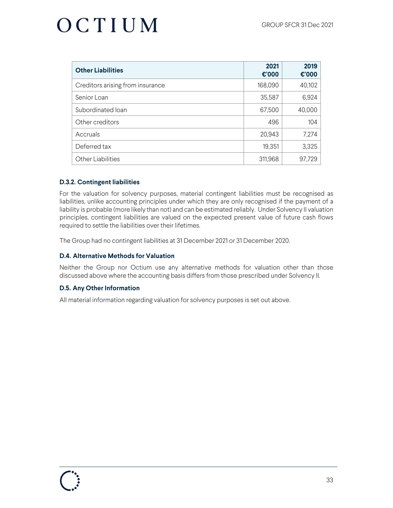| <b>Other Liabilities</b>         | 2021<br>$\epsilon$ '000 | 2019<br>€'000 |
|----------------------------------|-------------------------|---------------|
| Creditors arising from insurance | 168,090                 | 40,102        |
| Senior Loan                      | 35,587                  | 6,924         |
| Subordinated loan                | 67,500                  | 40,000        |
| Other creditors                  | 496                     | 104           |
| Accruals                         | 20,943                  | 7,274         |
| Deferred tax                     | 19,351                  | 3,325         |
| <b>Other Liabilities</b>         | 311,968                 | 97,729        |

#### **D.3.2. Contingent liabilities**

For the valuation for solvency purposes, material contingent liabilities must be recognised as liabilities, unlike accounting principles under which they are only recognised if the payment of a liability is probable (more likely than not) and can be estimated reliably. Under Solvency II valuation principles, contingent liabilities are valued on the expected present value of future cash flows required to settle the liabilities over their lifetimes.

The Group had no contingent liabilities at 31 December 2021 or 31 December 2020.

#### **D.4. Alternative Methods for Valuation**

Neither the Group nor Octium use any alternative methods for valuation other than those discussed above where the accounting basis differs from those prescribed under Solvency II.

#### **D.5. Any Other Information**

All material information regarding valuation for solvency purposes is set out above.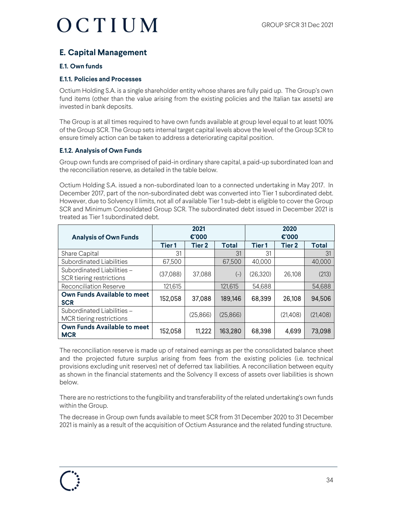### **E. Capital Management**

#### **E.1. Own funds**

#### **E.1.1. Policies and Processes**

Octium Holding S.A. is a single shareholder entity whose shares are fully paid up. The Group's own fund items (other than the value arising from the existing policies and the Italian tax assets) are invested in bank deposits.

The Group is at all times required to have own funds available at group level equal to at least 100% of the Group SCR. The Group sets internal target capital levels above the level of the Group SCR to ensure timely action can be taken to address a deteriorating capital position.

#### **E.1.2. Analysis of Own Funds**

Group own funds are comprised of paid-in ordinary share capital, a paid-up subordinated loan and the reconciliation reserve, as detailed in the table below.

Octium Holding S.A. issued a non-subordinated loan to a connected undertaking in May 2017. In December 2017, part of the non-subordinated debt was converted into Tier 1 subordinated debt. However, due to Solvency II limits, not all of available Tier 1 sub-debt is eligible to cover the Group SCR and Minimum Consolidated Group SCR. The subordinated debt issued in December 2021 is treated as Tier 1 subordinated debt.

| <b>Analysis of Own Funds</b>                           |          | 2021<br>€'000 |              |               | 2020<br>$\epsilon$ '000 |              |
|--------------------------------------------------------|----------|---------------|--------------|---------------|-------------------------|--------------|
|                                                        | Tier 1   | <b>Tier 2</b> | <b>Total</b> | <b>Tier 1</b> | <b>Tier 2</b>           | <b>Total</b> |
| <b>Share Capital</b>                                   | 31       |               | 31           | 31            |                         | 31           |
| <b>Subordinated Liabilities</b>                        | 67,500   |               | 67,500       | 40,000        |                         | 40,000       |
| Subordinated Liabilities -<br>SCR tiering restrictions | (37,088) | 37,088        | $(-)$        | (26, 320)     | 26,108                  | (213)        |
| <b>Reconciliation Reserve</b>                          | 121,615  |               | 121,615      | 54,688        |                         | 54,688       |
| <b>Own Funds Available to meet</b><br><b>SCR</b>       | 152,058  | 37,088        | 189,146      | 68,399        | 26,108                  | 94,506       |
| Subordinated Liabilities -<br>MCR tiering restrictions |          | (25,866)      | (25,866)     |               | (21,408)                | (21, 408)    |
| <b>Own Funds Available to meet</b><br><b>MCR</b>       | 152,058  | 11,222        | 163,280      | 68,398        | 4,699                   | 73,098       |

The reconciliation reserve is made up of retained earnings as per the consolidated balance sheet and the projected future surplus arising from fees from the existing policies (i.e. technical provisions excluding unit reserves) net of deferred tax liabilities. A reconciliation between equity as shown in the financial statements and the Solvency II excess of assets over liabilities is shown below.

There are no restrictions to the fungibility and transferability of the related undertaking's own funds within the Group.

The decrease in Group own funds available to meet SCR from 31 December 2020 to 31 December 2021 is mainly as a result of the acquisition of Octium Assurance and the related funding structure.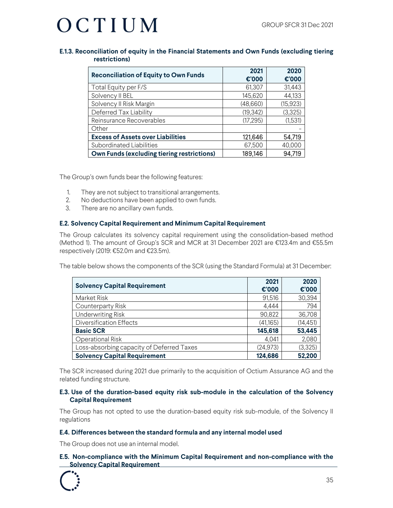#### **E.1.3. Reconciliation of equity in the Financial Statements and Own Funds (excluding tiering restrictions)**

| <b>Reconciliation of Equity to Own Funds</b>      | 2021<br>€'000 | 2020<br>€'000 |
|---------------------------------------------------|---------------|---------------|
| Total Equity per F/S                              | 61,307        | 31,443        |
| Solvency II BEL                                   | 145,620       | 44,133        |
| Solvency II Risk Margin                           | (48,660)      | (15, 923)     |
| Deferred Tax Liability                            | (19, 342)     | (3,325)       |
| Reinsurance Recoverables                          | (17, 295)     | (1,531)       |
| Other                                             |               |               |
| <b>Excess of Assets over Liabilities</b>          | 121,646       | 54,719        |
| <b>Subordinated Liabilities</b>                   | 67,500        | 40,000        |
| <b>Own Funds (excluding tiering restrictions)</b> | 189,146       | 94,719        |

The Group's own funds bear the following features:

- 1. They are not subject to transitional arrangements.
- 2. No deductions have been applied to own funds.
- 3. There are no ancillary own funds.

#### **E.2. Solvency Capital Requirement and Minimum Capital Requirement**

The Group calculates its solvency capital requirement using the consolidation-based method (Method 1). The amount of Group's SCR and MCR at 31 December 2021 are €123.4m and €55.5m respectively (2019: €52.0m and €23.5m).

The table below shows the components of the SCR (using the Standard Formula) at 31 December:

| <b>Solvency Capital Requirement</b>       | 2021<br>€'000 | 2020<br>€'000 |
|-------------------------------------------|---------------|---------------|
| Market Risk                               | 91,516        | 30,394        |
| Counterparty Risk                         | 4,444         | 794           |
| <b>Underwriting Risk</b>                  | 90,822        | 36,708        |
| <b>Diversification Effects</b>            | (41,165)      | (14, 451)     |
| <b>Basic SCR</b>                          | 145,618       | 53,445        |
| <b>Operational Risk</b>                   | 4,041         | 2,080         |
| Loss-absorbing capacity of Deferred Taxes | (24, 973)     | (3,325)       |
| <b>Solvency Capital Requirement</b>       | 124,686       | 52,200        |

The SCR increased during 2021 due primarily to the acquisition of Octium Assurance AG and the related funding structure.

#### **E.3. Use of the duration-based equity risk sub-module in the calculation of the Solvency Capital Requirement**

The Group has not opted to use the duration-based equity risk sub-module, of the Solvency II regulations

#### **E.4. Differences between the standard formula and any internal model used**

The Group does not use an internal model.

#### **E.5. Non-compliance with the Minimum Capital Requirement and non-compliance with the Solvency Capital Requirement**

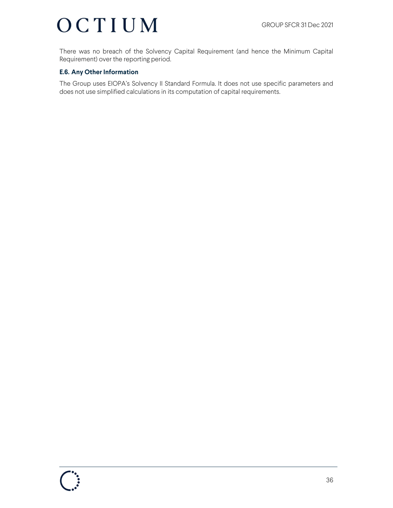There was no breach of the Solvency Capital Requirement (and hence the Minimum Capital Requirement) over the reporting period.

#### **E.6. Any Other Information**

The Group uses EIOPA's Solvency II Standard Formula. It does not use specific parameters and does not use simplified calculations in its computation of capital requirements.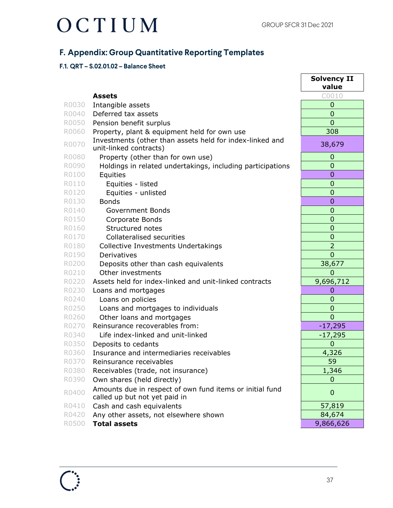### **F. Appendix: Group Quantitative Reporting Templates**

#### **F.1. QRT – S.02.01.02 – Balance Sheet**

|       |                                                                                           | <b>Solvency II</b><br>value |
|-------|-------------------------------------------------------------------------------------------|-----------------------------|
|       | <b>Assets</b>                                                                             | C0010                       |
| R0030 | Intangible assets                                                                         | 0                           |
| R0040 | Deferred tax assets                                                                       | $\overline{0}$              |
| R0050 | Pension benefit surplus                                                                   | $\overline{0}$              |
| R0060 | Property, plant & equipment held for own use                                              | 308                         |
| R0070 | Investments (other than assets held for index-linked and<br>unit-linked contracts)        | 38,679                      |
| R0080 | Property (other than for own use)                                                         | $\mathbf 0$                 |
| R0090 | Holdings in related undertakings, including participations                                | $\overline{0}$              |
| R0100 | Equities                                                                                  | $\overline{0}$              |
| R0110 | Equities - listed                                                                         | $\mathbf 0$                 |
| R0120 | Equities - unlisted                                                                       | $\overline{0}$              |
| R0130 | <b>Bonds</b>                                                                              | $\overline{0}$              |
| R0140 | <b>Government Bonds</b>                                                                   | $\mathbf 0$                 |
| R0150 | Corporate Bonds                                                                           | 0                           |
| R0160 | Structured notes                                                                          | $\overline{0}$              |
| R0170 | <b>Collateralised securities</b>                                                          | $\mathbf 0$                 |
| R0180 | Collective Investments Undertakings                                                       | $\overline{2}$              |
| R0190 | Derivatives                                                                               | $\overline{0}$              |
| R0200 | Deposits other than cash equivalents                                                      | 38,677                      |
| R0210 | Other investments                                                                         | $\Omega$                    |
| R0220 | Assets held for index-linked and unit-linked contracts                                    | 9,696,712                   |
| R0230 | Loans and mortgages                                                                       | 0                           |
| R0240 | Loans on policies                                                                         | $\overline{0}$              |
| R0250 | Loans and mortgages to individuals                                                        | $\overline{0}$              |
| R0260 | Other loans and mortgages                                                                 | $\overline{0}$              |
| R0270 | Reinsurance recoverables from:                                                            | $-17,295$                   |
| R0340 | Life index-linked and unit-linked                                                         | $-17,295$                   |
| R0350 | Deposits to cedants                                                                       | $\mathbf 0$                 |
| R0360 | Insurance and intermediaries receivables                                                  | 4,326                       |
| R0370 | Reinsurance receivables                                                                   | 59                          |
| R0380 | Receivables (trade, not insurance)                                                        | 1,346                       |
| R0390 | Own shares (held directly)                                                                | 0                           |
| R0400 | Amounts due in respect of own fund items or initial fund<br>called up but not yet paid in | $\mathbf 0$                 |
| R0410 | Cash and cash equivalents                                                                 | 57,819                      |
| R0420 | Any other assets, not elsewhere shown                                                     | 84,674                      |
| R0500 | <b>Total assets</b>                                                                       | 9,866,626                   |

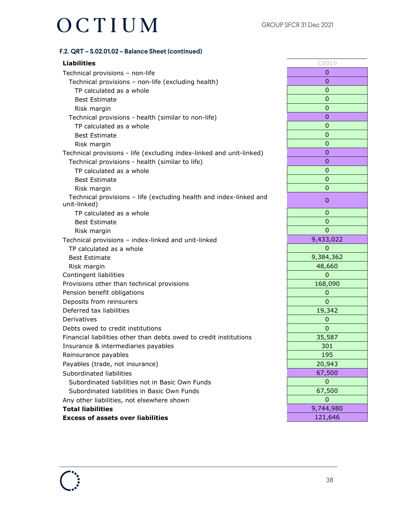#### **F.2. QRT – S.02.01.02 – Balance Sheet (continued)**

#### **Liabilities** C0010

Technical provisions – non-life 0 Technical provisions – non-life (excluding health) 0 TP calculated as a whole  $\qquad \qquad$  0 Best Estimate and the contract of the contract of the contract of the contract of the contract of the contract of the contract of the contract of the contract of the contract of the contract of the contract of the contract Risk margin and the contract of the contract of the contract of the contract of the contract of the contract of the contract of the contract of the contract of the contract of the contract of the contract of the contract o Technical provisions - health (similar to non-life) 0 TP calculated as a whole  $\overline{0}$ Best Estimate and the contract of the contract of the contract of the contract of the contract of the contract of the contract of the contract of the contract of the contract of the contract of the contract of the contract Risk margin and the control of the control of the control of the control of the control of the control of the control of the control of the control of the control of the control of the control of the control of the control Technical provisions - life (excluding index-linked and unit-linked) 0 Technical provisions - health (similar to life) 0 TP calculated as a whole 0 Best Estimate and the contract of the contract of the contract of the contract of the contract of the contract of the contract of the contract of the contract of the contract of the contract of the contract of the contract Risk margin and the contract of the contract of the contract of the contract of the contract of the contract of the contract of the contract of the contract of the contract of the contract of the contract of the contract o Technical provisions – life (excluding health and index-linked and unit-linked) <sup>0</sup> TP calculated as a whole  $\overline{0}$ Best Estimate and the contract of the contract of the contract of the contract of the contract of the contract of the contract of the contract of the contract of the contract of the contract of the contract of the contract Risk margin and the contract of the contract of the contract of the contract of the contract of the contract of the contract of the contract of the contract of the contract of the contract of the contract of the contract o Technical provisions – index-linked and unit-linked 9,433,022 TP calculated as a whole  $\overline{0}$ Best Estimate 8,384,362 Risk margin and the set of the set of the set of the set of the set of the set of the set of the set of the set of the set of the set of the set of the set of the set of the set of the set of the set of the set of the set Contingent liabilities 0 Provisions other than technical provisions 168,090 and 168,090 and 168,090 and 168,090 and 168,090 and 168,090 Pension benefit obligations and the set of the set of the set of the set of the set of the set of the set of the set of the set of the set of the set of the set of the set of the set of the set of the set of the set of the **Deposits from reinsurers and all of the set of the control of the control of the control of the control of the control of the control of the control of the control of the control of the control of the control of the contr** Deferred tax liabilities and the set of the set of the set of the set of the set of the set of the set of the set of the set of the set of the set of the set of the set of the set of the set of the set of the set of the se Derivatives 0 Debts owed to credit institutions and the control of the control of the control of the control of the control o Financial liabilities other than debts owed to credit institutions and the state of 35,587 Insurance & intermediaries payables 301 Reinsurance payables **195** Payables (trade, not insurance) 20,943 Subordinated liabilities 67,500 Subordinated liabilities not in Basic Own Funds 0 Subordinated liabilities in Basic Own Funds 67,500 Any other liabilities, not elsewhere shown and a control of the state of the state of the state of the state o **Total liabilities** 9,744,980 **Excess of assets over liabilities 121,646** 

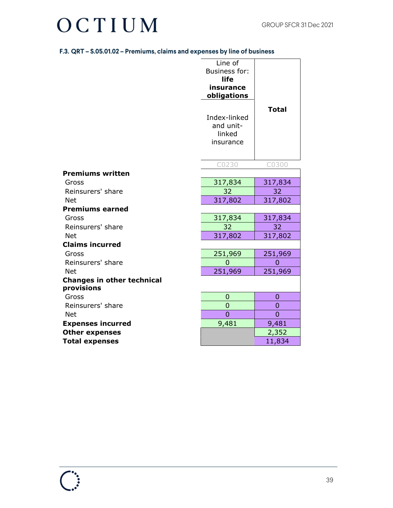| F.3. QRT – S.05.01.02 – Premiums, claims and expenses by line of business |  |  |
|---------------------------------------------------------------------------|--|--|
|---------------------------------------------------------------------------|--|--|

|                                   | Line of<br><b>Business for:</b><br>life<br>insurance<br>obligations<br>Index-linked<br>and unit-<br>linked<br>insurance | <b>Total</b>              |
|-----------------------------------|-------------------------------------------------------------------------------------------------------------------------|---------------------------|
|                                   | C0230                                                                                                                   | C0300                     |
| <b>Premiums written</b>           |                                                                                                                         |                           |
| Gross                             | 317,834                                                                                                                 | 317,834                   |
| Reinsurers' share                 | 32                                                                                                                      | 32                        |
| <b>Net</b>                        | 317,802                                                                                                                 | 317,802                   |
| <b>Premiums earned</b>            |                                                                                                                         |                           |
| Gross                             | 317,834                                                                                                                 | 317,834                   |
| Reinsurers' share                 | 32                                                                                                                      | 32                        |
| <b>Net</b>                        | 317,802                                                                                                                 | 317,802                   |
| <b>Claims incurred</b>            |                                                                                                                         |                           |
| Gross<br>Reinsurers' share        | 251,969<br>$\overline{0}$                                                                                               | 251,969<br>$\overline{0}$ |
| <b>Net</b>                        | 251,969                                                                                                                 | 251,969                   |
| <b>Changes in other technical</b> |                                                                                                                         |                           |
| provisions                        |                                                                                                                         |                           |
| Gross                             | $\mathbf 0$                                                                                                             | $\mathbf 0$               |
| Reinsurers' share                 | $\overline{0}$                                                                                                          | 0                         |
| <b>Net</b>                        | $\overline{0}$                                                                                                          | $\overline{0}$            |
| <b>Expenses incurred</b>          | 9,481                                                                                                                   | 9,481                     |
| <b>Other expenses</b>             |                                                                                                                         | 2,352                     |
| <b>Total expenses</b>             |                                                                                                                         | 11,834                    |

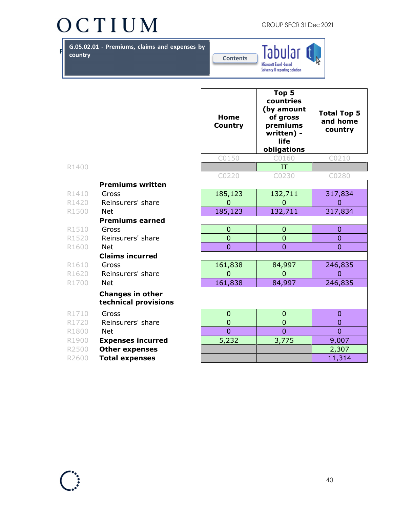GROUP SFCR 31 Dec 2021

**F. G.05.02.01** - Premiums, claims and expenses by **construction country**



|       |                                                 | Home<br>Country | Top 5<br>countries<br>(by amount<br>of gross<br>premiums<br>written) -<br>life<br>obligations | <b>Total Top 5</b><br>and home<br>country |
|-------|-------------------------------------------------|-----------------|-----------------------------------------------------------------------------------------------|-------------------------------------------|
|       |                                                 | C0150           | C0160                                                                                         | C0210                                     |
| R1400 |                                                 |                 | IT                                                                                            |                                           |
|       |                                                 | C0220           | C0230                                                                                         | C0280                                     |
|       | <b>Premiums written</b>                         |                 |                                                                                               |                                           |
| R1410 | Gross                                           | 185,123         | 132,711                                                                                       | 317,834                                   |
| R1420 | Reinsurers' share                               | $\Omega$        | $\Omega$                                                                                      | $\Omega$                                  |
| R1500 | <b>Net</b>                                      | 185,123         | 132,711                                                                                       | 317,834                                   |
|       | <b>Premiums earned</b>                          |                 |                                                                                               |                                           |
| R1510 | Gross                                           | $\mathbf 0$     | 0                                                                                             | $\mathbf{0}$                              |
| R1520 | Reinsurers' share                               | $\overline{0}$  | $\overline{0}$                                                                                | $\overline{0}$                            |
| R1600 | <b>Net</b>                                      | $\overline{0}$  | $\overline{0}$                                                                                | $\overline{0}$                            |
|       | <b>Claims incurred</b>                          |                 |                                                                                               |                                           |
| R1610 | Gross                                           | 161,838         | 84,997                                                                                        | 246,835                                   |
| R1620 | Reinsurers' share                               | $\overline{0}$  | $\overline{0}$                                                                                | $\overline{0}$                            |
| R1700 | <b>Net</b>                                      | 161,838         | 84,997                                                                                        | 246,835                                   |
|       | <b>Changes in other</b><br>technical provisions |                 |                                                                                               |                                           |
| R1710 | Gross                                           | $\overline{0}$  | 0                                                                                             | $\overline{0}$                            |
| R1720 | Reinsurers' share                               | $\overline{0}$  | $\overline{0}$                                                                                | $\overline{0}$                            |
| R1800 | <b>Net</b>                                      | $\overline{0}$  | $\overline{0}$                                                                                | $\overline{0}$                            |
| R1900 | <b>Expenses incurred</b>                        | 5,232           | 3,775                                                                                         | 9,007                                     |
| R2500 | <b>Other expenses</b>                           |                 |                                                                                               | 2,307                                     |
| R2600 | <b>Total expenses</b>                           |                 |                                                                                               | 11,314                                    |



- 
- 
- 
- 
- 
- 
- 
- 
- 
- 
- 
- 

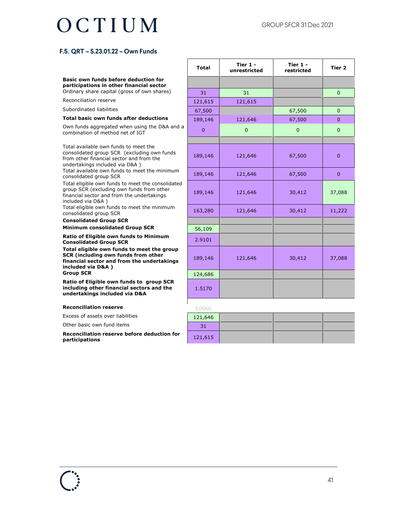#### **F.5. QRT – S.23.01.22 – Own Funds**

#### **Basic own funds before deduction for participations in other financial sector**

Ordinary share capital (gross of own shares)

Reconciliation reserve

Subordinated liabilities

#### **Total basic own funds after deductions**

Own funds aggregated when using the D&A and a combination of method net of IGT

Total available own funds to meet the consolidated group SCR (excluding own funds from other financial sector and from the undertakings included via D&A ) Total available own funds to meet the minimum

consolidated group SCR

Total eligible own funds to meet the consolidated group SCR (excluding own funds from other financial sector and from the undertakings included via D&A )

Total eligible own funds to meet the minimum consolidated group SCR

**Consolidated Group SCR** 

**Minimum consolidated Group SCR** 

**Ratio of Eligible own funds to Minimum Consolidated Group SCR** 

**Total eligible own funds to meet the group SCR (including own funds from other financial sector and from the undertakings included via D&A ) Group SCR** 

**Ratio of Eligible own funds to group SCR including other financial sectors and the undertakings included via D&A** 

#### **Reconciliation reserve and all reserve** control

Excess of assets over liabilities

Other basic own fund items

**Reconciliation reserve before deduction for participations** 

| <b>Total</b>   | Tier 1 -<br>unrestricted | Tier 1 -<br>restricted | Tier <sub>2</sub> |
|----------------|--------------------------|------------------------|-------------------|
|                |                          |                        |                   |
| 31             | 31                       |                        | $\overline{0}$    |
| 121,615        | 121,615                  |                        |                   |
| 67,500         |                          | 67,500                 | $\mathbf 0$       |
| 189,146        | 121,646                  | 67,500                 | $\mathbf{0}$      |
| $\overline{0}$ | $\overline{0}$           | $\overline{0}$         | $\overline{0}$    |
|                |                          |                        |                   |
| 189,146        | 121,646                  | 67,500                 | $\overline{0}$    |
| 189,146        | 121,646                  | 67,500                 | $\overline{0}$    |
| 189,146        | 121,646                  | 30,412                 | 37,088            |
| 163,280        | 121,646                  | 30,412                 | 11,222            |
| 56,109         |                          |                        |                   |
| 2.9101         |                          |                        |                   |
| 189,146        | 121,646                  | 30,412                 | 37,088            |
| 124,686        |                          |                        |                   |
| 1.5170         |                          |                        |                   |

| 121,646 |  |  |
|---------|--|--|
| 31      |  |  |
| 121,615 |  |  |

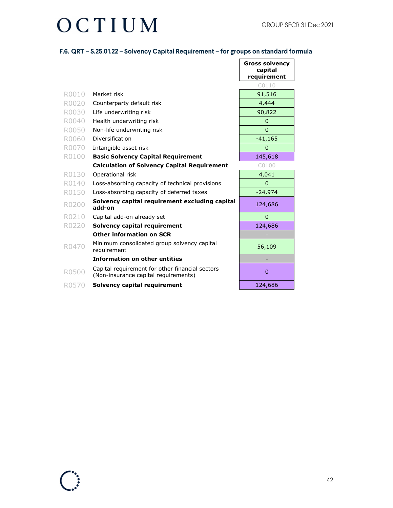### OCTIUM

#### **F.6. QRT – S.25.01.22 – Solvency Capital Requirement – for groups on standard formula**

 $\mathsf{r}$ 

|       |                                                                                         | <b>Gross solvency</b><br>capital<br>requirement |
|-------|-----------------------------------------------------------------------------------------|-------------------------------------------------|
|       |                                                                                         | C0110                                           |
| R0010 | Market risk                                                                             | 91,516                                          |
| R0020 | Counterparty default risk                                                               | 4,444                                           |
| R0030 | Life underwriting risk                                                                  | 90,822                                          |
| R0040 | Health underwriting risk                                                                | 0                                               |
| R0050 | Non-life underwriting risk                                                              | $\overline{0}$                                  |
| R0060 | Diversification                                                                         | $-41,165$                                       |
| R0070 | Intangible asset risk                                                                   | 0                                               |
| R0100 | <b>Basic Solvency Capital Requirement</b>                                               | 145,618                                         |
|       | <b>Calculation of Solvency Capital Requirement</b>                                      | C0100                                           |
| R0130 | Operational risk                                                                        | 4,041                                           |
| R0140 | Loss-absorbing capacity of technical provisions                                         | $\overline{0}$                                  |
| R0150 | Loss-absorbing capacity of deferred taxes                                               | $-24,974$                                       |
| R0200 | Solvency capital requirement excluding capital<br>add-on                                | 124,686                                         |
| R0210 | Capital add-on already set                                                              | $\overline{0}$                                  |
| R0220 | Solvency capital requirement                                                            | 124,686                                         |
|       | <b>Other information on SCR</b>                                                         |                                                 |
| R0470 | Minimum consolidated group solvency capital<br>requirement                              | 56,109                                          |
|       | <b>Information on other entities</b>                                                    |                                                 |
| R0500 | Capital requirement for other financial sectors<br>(Non-insurance capital requirements) | $\Omega$                                        |
| R0570 | <b>Solvency capital requirement</b>                                                     | 124,686                                         |